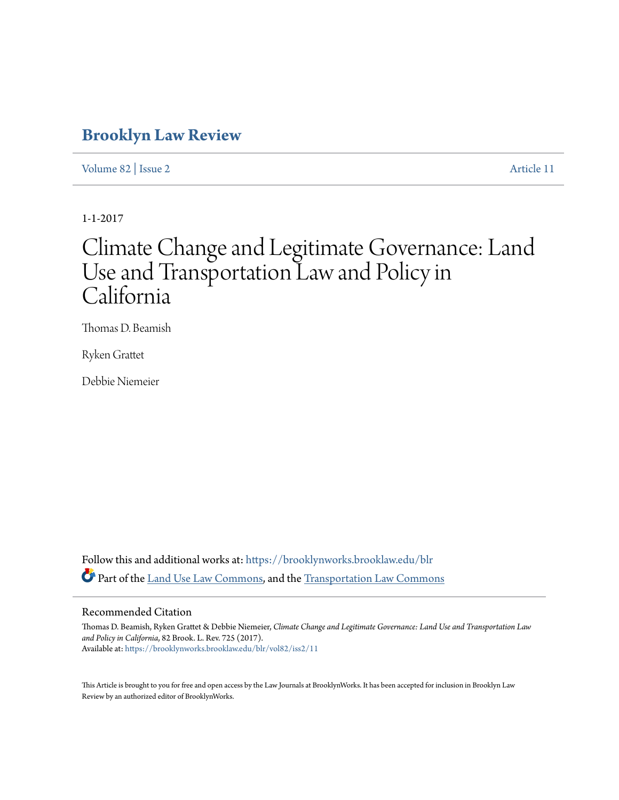# **[Brooklyn Law Review](https://brooklynworks.brooklaw.edu/blr?utm_source=brooklynworks.brooklaw.edu%2Fblr%2Fvol82%2Fiss2%2F11&utm_medium=PDF&utm_campaign=PDFCoverPages)**

[Volume 82](https://brooklynworks.brooklaw.edu/blr/vol82?utm_source=brooklynworks.brooklaw.edu%2Fblr%2Fvol82%2Fiss2%2F11&utm_medium=PDF&utm_campaign=PDFCoverPages) | [Issue 2](https://brooklynworks.brooklaw.edu/blr/vol82/iss2?utm_source=brooklynworks.brooklaw.edu%2Fblr%2Fvol82%2Fiss2%2F11&utm_medium=PDF&utm_campaign=PDFCoverPages) [Article 11](https://brooklynworks.brooklaw.edu/blr/vol82/iss2/11?utm_source=brooklynworks.brooklaw.edu%2Fblr%2Fvol82%2Fiss2%2F11&utm_medium=PDF&utm_campaign=PDFCoverPages)

1-1-2017

# Climate Change and Legitimate Governance: Land Use and Transportation Law and Policy in California

Thomas D. Beamish

Ryken Grattet

Debbie Niemeier

Follow this and additional works at: [https://brooklynworks.brooklaw.edu/blr](https://brooklynworks.brooklaw.edu/blr?utm_source=brooklynworks.brooklaw.edu%2Fblr%2Fvol82%2Fiss2%2F11&utm_medium=PDF&utm_campaign=PDFCoverPages) Part of the [Land Use Law Commons](http://network.bepress.com/hgg/discipline/852?utm_source=brooklynworks.brooklaw.edu%2Fblr%2Fvol82%2Fiss2%2F11&utm_medium=PDF&utm_campaign=PDFCoverPages), and the [Transportation Law Commons](http://network.bepress.com/hgg/discipline/885?utm_source=brooklynworks.brooklaw.edu%2Fblr%2Fvol82%2Fiss2%2F11&utm_medium=PDF&utm_campaign=PDFCoverPages)

### Recommended Citation

Thomas D. Beamish, Ryken Grattet & Debbie Niemeier, *Climate Change and Legitimate Governance: Land Use and Transportation Law and Policy in California*, 82 Brook. L. Rev. 725 (2017). Available at: [https://brooklynworks.brooklaw.edu/blr/vol82/iss2/11](https://brooklynworks.brooklaw.edu/blr/vol82/iss2/11?utm_source=brooklynworks.brooklaw.edu%2Fblr%2Fvol82%2Fiss2%2F11&utm_medium=PDF&utm_campaign=PDFCoverPages)

This Article is brought to you for free and open access by the Law Journals at BrooklynWorks. It has been accepted for inclusion in Brooklyn Law Review by an authorized editor of BrooklynWorks.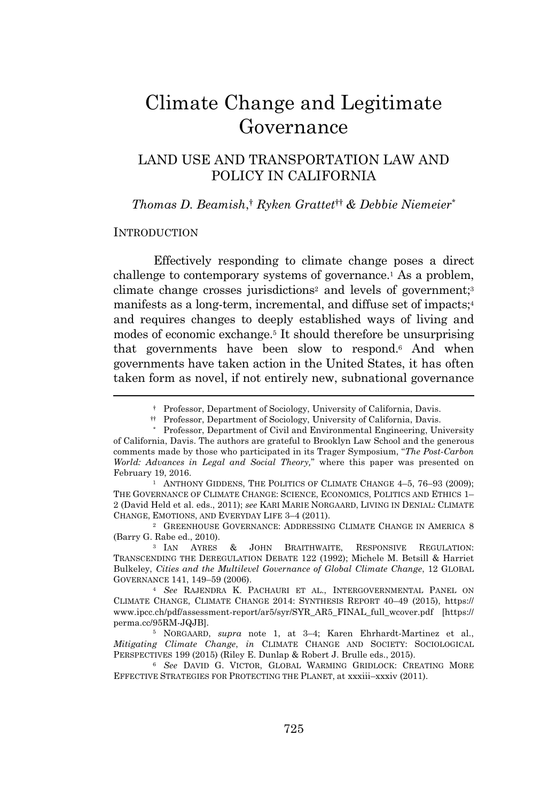# Climate Change and Legitimate Governance

# LAND USE AND TRANSPORTATION LAW AND POLICY IN CALIFORNIA

*Thomas D. Beamish*, † *Ryken Grattet*†† *& Debbie Niemeier*\*

#### **INTRODUCTION**

Effectively responding to climate change poses a direct challenge to contemporary systems of governance.<sup>1</sup> As a problem, climate change crosses jurisdictions<sup>2</sup> and levels of government;<sup>3</sup> manifests as a long-term, incremental, and diffuse set of impacts;<sup>4</sup> and requires changes to deeply established ways of living and modes of economic exchange.<sup>5</sup> It should therefore be unsurprising that governments have been slow to respond.<sup>6</sup> And when governments have taken action in the United States, it has often taken form as novel, if not entirely new, subnational governance

<sup>1</sup> ANTHONY GIDDENS, THE POLITICS OF CLIMATE CHANGE 4-5, 76-93 (2009); THE GOVERNANCE OF CLIMATE CHANGE: SCIENCE, ECONOMICS, POLITICS AND ETHICS 1– 2 (David Held et al. eds., 2011); *see* KARI MARIE NORGAARD, LIVING IN DENIAL: CLIMATE CHANGE, EMOTIONS, AND EVERYDAY LIFE 3–4 (2011).

<sup>2</sup> GREENHOUSE GOVERNANCE: ADDRESSING CLIMATE CHANGE IN AMERICA 8 (Barry G. Rabe ed., 2010).

<sup>3</sup> IAN AYRES & JOHN BRAITHWAITE, RESPONSIVE REGULATION: TRANSCENDING THE DEREGULATION DEBATE 122 (1992); Michele M. Betsill & Harriet Bulkeley, *Cities and the Multilevel Governance of Global Climate Change*, 12 GLOBAL GOVERNANCE 141, 149–59 (2006).

<sup>4</sup> *See* RAJENDRA K. PACHAURI ET AL., INTERGOVERNMENTAL PANEL ON CLIMATE CHANGE, CLIMATE CHANGE 2014: SYNTHESIS REPORT 40–49 (2015), https:// www.ipcc.ch/pdf/assessment-report/ar5/syr/SYR\_AR5\_FINAL\_full\_wcover.pdf [https:// perma.cc/95RM-JQJB].

<sup>5</sup> NORGAARD, *supra* note 1, at 3–4; Karen Ehrhardt-Martinez et al., *Mitigating Climate Change*, *in* CLIMATE CHANGE AND SOCIETY: SOCIOLOGICAL PERSPECTIVES 199 (2015) (Riley E. Dunlap & Robert J. Brulle eds., 2015).

<sup>6</sup> *See* DAVID G. VICTOR, GLOBAL WARMING GRIDLOCK: CREATING MORE EFFECTIVE STRATEGIES FOR PROTECTING THE PLANET, at xxxiii–xxxiv (2011).

<sup>†</sup> Professor, Department of Sociology, University of California, Davis.

<sup>††</sup> Professor, Department of Sociology, University of California, Davis.

<sup>\*</sup> Professor, Department of Civil and Environmental Engineering, University of California, Davis. The authors are grateful to Brooklyn Law School and the generous comments made by those who participated in its Trager Symposium, "*The Post-Carbon World: Advances in Legal and Social Theory,*" where this paper was presented on February 19, 2016.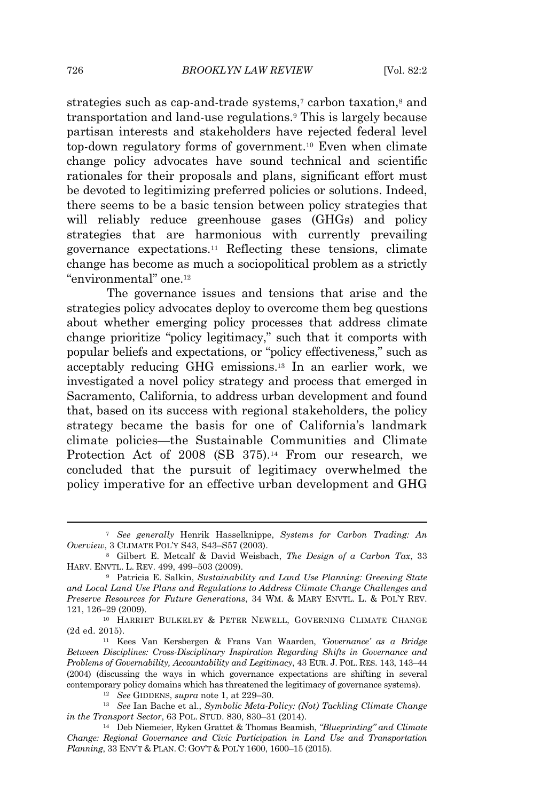strategies such as cap-and-trade systems,<sup>7</sup> carbon taxation,<sup>8</sup> and transportation and land-use regulations.<sup>9</sup> This is largely because partisan interests and stakeholders have rejected federal level top-down regulatory forms of government.<sup>10</sup> Even when climate change policy advocates have sound technical and scientific rationales for their proposals and plans, significant effort must be devoted to legitimizing preferred policies or solutions. Indeed, there seems to be a basic tension between policy strategies that will reliably reduce greenhouse gases (GHGs) and policy strategies that are harmonious with currently prevailing governance expectations.<sup>11</sup> Reflecting these tensions, climate change has become as much a sociopolitical problem as a strictly "environmental" one.<sup>12</sup>

The governance issues and tensions that arise and the strategies policy advocates deploy to overcome them beg questions about whether emerging policy processes that address climate change prioritize "policy legitimacy," such that it comports with popular beliefs and expectations, or "policy effectiveness," such as acceptably reducing GHG emissions.<sup>13</sup> In an earlier work, we investigated a novel policy strategy and process that emerged in Sacramento, California, to address urban development and found that, based on its success with regional stakeholders, the policy strategy became the basis for one of California's landmark climate policies—the Sustainable Communities and Climate Protection Act of 2008 (SB 375).<sup>14</sup> From our research, we concluded that the pursuit of legitimacy overwhelmed the policy imperative for an effective urban development and GHG

<sup>7</sup> *See generally* Henrik Hasselknippe, *Systems for Carbon Trading: An Overview*, 3 CLIMATE POL'<sup>Y</sup> S43, S43–S57 (2003).

<sup>8</sup> Gilbert E. Metcalf & David Weisbach, *The Design of a Carbon Tax*, 33 HARV. ENVTL. L. REV. 499, 499–503 (2009).

<sup>9</sup> Patricia E. Salkin, *Sustainability and Land Use Planning: Greening State and Local Land Use Plans and Regulations to Address Climate Change Challenges and Preserve Resources for Future Generations*, 34 WM. & MARY ENVTL. L. & POL'<sup>Y</sup> REV. 121, 126–29 (2009).

<sup>10</sup> HARRIET BULKELEY & PETER NEWELL, GOVERNING CLIMATE CHANGE (2d ed. 2015).

<sup>11</sup> Kees Van Kersbergen & Frans Van Waarden, *'Governance' as a Bridge Between Disciplines: Cross-Disciplinary Inspiration Regarding Shifts in Governance and Problems of Governability, Accountability and Legitimacy*, 43 EUR. J. POL. RES. 143, 143–44 (2004) (discussing the ways in which governance expectations are shifting in several contemporary policy domains which has threatened the legitimacy of governance systems).

<sup>12</sup> *See* GIDDENS, *supra* note 1, at 229–30.

<sup>13</sup> *See* Ian Bache et al., *Symbolic Meta-Policy: (Not) Tackling Climate Change in the Transport Sector*, 63 POL. STUD. 830, 830–31 (2014).

<sup>14</sup> Deb Niemeier, Ryken Grattet & Thomas Beamish, *"Blueprinting" and Climate Change: Regional Governance and Civic Participation in Land Use and Transportation Planning*, 33 ENV'<sup>T</sup> & PLAN. C: GOV'<sup>T</sup> & POL'<sup>Y</sup> 1600, 1600–15 (2015).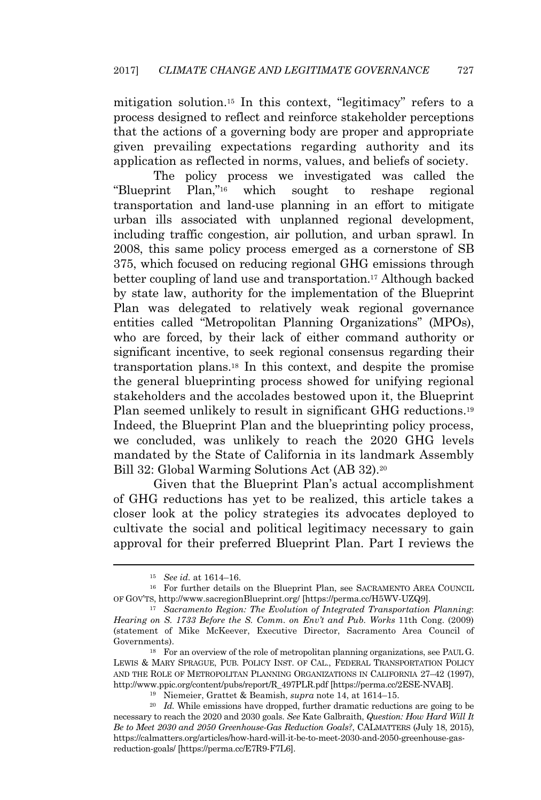mitigation solution.<sup>15</sup> In this context, "legitimacy" refers to a process designed to reflect and reinforce stakeholder perceptions that the actions of a governing body are proper and appropriate given prevailing expectations regarding authority and its application as reflected in norms, values, and beliefs of society.

The policy process we investigated was called the "Blueprint Plan," which sought to reshape regional transportation and land-use planning in an effort to mitigate urban ills associated with unplanned regional development, including traffic congestion, air pollution, and urban sprawl. In 2008, this same policy process emerged as a cornerstone of SB 375, which focused on reducing regional GHG emissions through better coupling of land use and transportation.<sup>17</sup> Although backed by state law, authority for the implementation of the Blueprint Plan was delegated to relatively weak regional governance entities called "Metropolitan Planning Organizations" (MPOs), who are forced, by their lack of either command authority or significant incentive, to seek regional consensus regarding their transportation plans.<sup>18</sup> In this context, and despite the promise the general blueprinting process showed for unifying regional stakeholders and the accolades bestowed upon it, the Blueprint Plan seemed unlikely to result in significant GHG reductions.<sup>19</sup> Indeed, the Blueprint Plan and the blueprinting policy process, we concluded, was unlikely to reach the 2020 GHG levels mandated by the State of California in its landmark Assembly Bill 32: Global Warming Solutions Act (AB 32).<sup>20</sup>

Given that the Blueprint Plan's actual accomplishment of GHG reductions has yet to be realized, this article takes a closer look at the policy strategies its advocates deployed to cultivate the social and political legitimacy necessary to gain approval for their preferred Blueprint Plan. Part I reviews the

<sup>15</sup> *See id.* at 1614–16.

<sup>16</sup> For further details on the Blueprint Plan, see SACRAMENTO AREA COUNCIL OF GOV'TS, http://www.sacregionBlueprint.org/ [https://perma.cc/H5WV-UZQ9].

<sup>17</sup> *Sacramento Region: The Evolution of Integrated Transportation Planning*: *Hearing on S. 1733 Before the S. Comm. on Env't and Pub. Works* 11th Cong. (2009) (statement of Mike McKeever, Executive Director, Sacramento Area Council of Governments).

<sup>18</sup> For an overview of the role of metropolitan planning organizations, see PAUL G. LEWIS & MARY SPRAGUE, PUB. POLICY INST. OF CAL., FEDERAL TRANSPORTATION POLICY AND THE ROLE OF METROPOLITAN PLANNING ORGANIZATIONS IN CALIFORNIA 27–42 (1997), http://www.ppic.org/content/pubs/report/R\_497PLR.pdf [https://perma.cc/2ESE-NVAB].

<sup>19</sup> Niemeier, Grattet & Beamish, *supra* note 14, at 1614–15.

<sup>20</sup> *Id.* While emissions have dropped, further dramatic reductions are going to be necessary to reach the 2020 and 2030 goals. *See* Kate Galbraith, *Question: How Hard Will It Be to Meet 2030 and 2050 Greenhouse-Gas Reduction Goals?*, CALMATTERS (July 18, 2015), https://calmatters.org/articles/how-hard-will-it-be-to-meet-2030-and-2050-greenhouse-gasreduction-goals/ [https://perma.cc/E7R9-F7L6].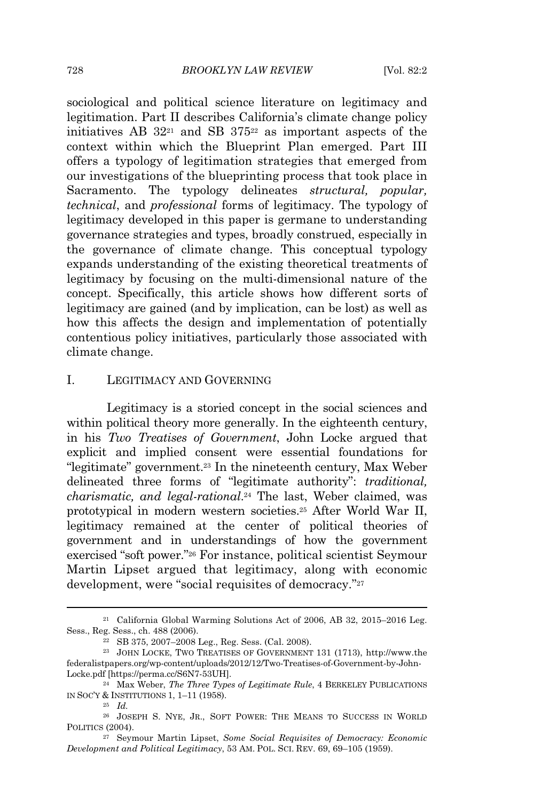sociological and political science literature on legitimacy and legitimation. Part II describes California's climate change policy initiatives AB  $32^{21}$  and SB  $375^{22}$  as important aspects of the context within which the Blueprint Plan emerged. Part III offers a typology of legitimation strategies that emerged from our investigations of the blueprinting process that took place in Sacramento. The typology delineates *structural, popular, technical*, and *professional* forms of legitimacy. The typology of legitimacy developed in this paper is germane to understanding governance strategies and types, broadly construed, especially in the governance of climate change. This conceptual typology expands understanding of the existing theoretical treatments of legitimacy by focusing on the multi-dimensional nature of the concept. Specifically, this article shows how different sorts of legitimacy are gained (and by implication, can be lost) as well as how this affects the design and implementation of potentially contentious policy initiatives, particularly those associated with climate change.

# I. LEGITIMACY AND GOVERNING

Legitimacy is a storied concept in the social sciences and within political theory more generally. In the eighteenth century, in his *Two Treatises of Government*, John Locke argued that explicit and implied consent were essential foundations for "legitimate" government.<sup>23</sup> In the nineteenth century, Max Weber delineated three forms of "legitimate authority": *traditional, charismatic, and legal-rational*. <sup>24</sup> The last, Weber claimed, was prototypical in modern western societies.<sup>25</sup> After World War II, legitimacy remained at the center of political theories of government and in understandings of how the government exercised "soft power." <sup>26</sup> For instance, political scientist Seymour Martin Lipset argued that legitimacy, along with economic development, were "social requisites of democracy."<sup>27</sup>

<sup>21</sup> California Global Warming Solutions Act of 2006, AB 32, 2015–2016 Leg. Sess., Reg. Sess., ch. 488 (2006).

<sup>22</sup> SB 375, 2007–2008 Leg., Reg. Sess. (Cal. 2008).

<sup>23</sup> JOHN LOCKE, TWO TREATISES OF GOVERNMENT 131 (1713), http://www.the federalistpapers.org/wp-content/uploads/2012/12/Two-Treatises-of-Government-by-John-Locke.pdf [https://perma.cc/S6N7-53UH].

<sup>24</sup> Max Weber, *The Three Types of Legitimate Rule*, 4 BERKELEY PUBLICATIONS IN SOC'<sup>Y</sup> & INSTITUTIONS 1, 1–11 (1958).

<sup>25</sup> *Id.*

<sup>26</sup> JOSEPH S. NYE, JR., SOFT POWER: THE MEANS TO SUCCESS IN WORLD POLITICS (2004).

<sup>27</sup> Seymour Martin Lipset, *Some Social Requisites of Democracy: Economic Development and Political Legitimacy*, 53 AM. POL. SCI. REV. 69, 69–105 (1959).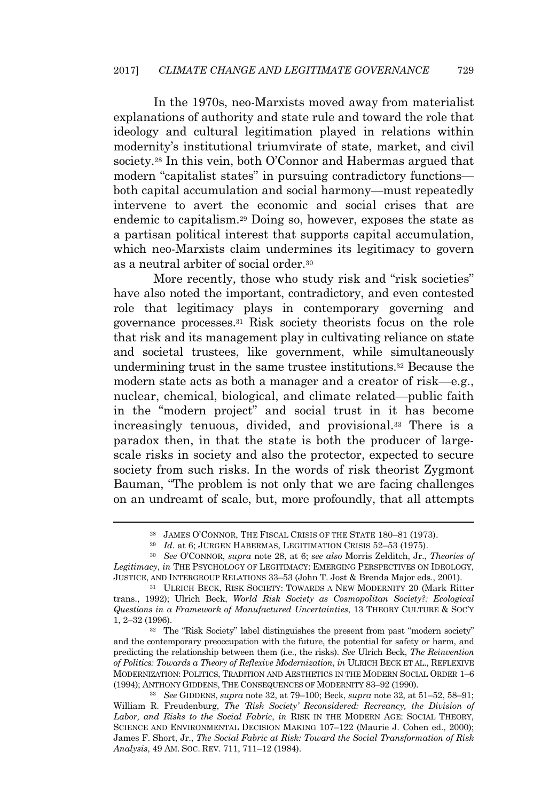In the 1970s, neo-Marxists moved away from materialist explanations of authority and state rule and toward the role that ideology and cultural legitimation played in relations within modernity's institutional triumvirate of state, market, and civil society.<sup>28</sup> In this vein, both O'Connor and Habermas argued that modern "capitalist states" in pursuing contradictory functions both capital accumulation and social harmony—must repeatedly intervene to avert the economic and social crises that are endemic to capitalism.<sup>29</sup> Doing so, however, exposes the state as a partisan political interest that supports capital accumulation, which neo-Marxists claim undermines its legitimacy to govern as a neutral arbiter of social order.<sup>30</sup>

More recently, those who study risk and "risk societies" have also noted the important, contradictory, and even contested role that legitimacy plays in contemporary governing and governance processes.<sup>31</sup> Risk society theorists focus on the role that risk and its management play in cultivating reliance on state and societal trustees, like government, while simultaneously undermining trust in the same trustee institutions.<sup>32</sup> Because the modern state acts as both a manager and a creator of risk—e.g., nuclear, chemical, biological, and climate related—public faith in the "modern project" and social trust in it has become increasingly tenuous, divided, and provisional.<sup>33</sup> There is a paradox then, in that the state is both the producer of largescale risks in society and also the protector, expected to secure society from such risks. In the words of risk theorist Zygmont Bauman, "The problem is not only that we are facing challenges on an undreamt of scale, but, more profoundly, that all attempts

<sup>32</sup> The "Risk Society" label distinguishes the present from past "modern society" and the contemporary preoccupation with the future, the potential for safety or harm, and predicting the relationship between them (i.e., the risks). *See* Ulrich Beck, *The Reinvention of Politics: Towards a Theory of Reflexive Modernization*, *in* ULRICH BECK ET AL., REFLEXIVE MODERNIZATION: POLITICS, TRADITION AND AESTHETICS IN THE MODERN SOCIAL ORDER 1–6 (1994); ANTHONY GIDDENS, THE CONSEQUENCES OF MODERNITY 83–92 (1990).

<sup>28</sup> JAMES O'CONNOR, THE FISCAL CRISIS OF THE STATE 180–81 (1973).

<sup>29</sup> *Id.* at 6; JÜRGEN HABERMAS, LEGITIMATION CRISIS 52–53 (1975).

<sup>30</sup> *See* O'CONNOR, *supra* note 28, at 6; *see also* Morris Zelditch, Jr., *Theories of Legitimacy*, *in* THE PSYCHOLOGY OF LEGITIMACY: EMERGING PERSPECTIVES ON IDEOLOGY, JUSTICE, AND INTERGROUP RELATIONS 33–53 (John T. Jost & Brenda Major eds., 2001).

<sup>31</sup> ULRICH BECK, RISK SOCIETY: TOWARDS A NEW MODERNITY 20 (Mark Ritter trans., 1992); Ulrich Beck, *World Risk Society as Cosmopolitan Society?: Ecological Questions in a Framework of Manufactured Uncertainties*, 13 THEORY CULTURE & SOC'<sup>Y</sup> 1, 2–32 (1996).

<sup>33</sup> *See* GIDDENS, *supra* note 32, at 79–100; Beck, *supra* note 32, at 51–52, 58–91; William R. Freudenburg, *The 'Risk Society' Reconsidered: Recreancy, the Division of Labor, and Risks to the Social Fabric*, *in* RISK IN THE MODERN AGE: SOCIAL THEORY, SCIENCE AND ENVIRONMENTAL DECISION MAKING 107–122 (Maurie J. Cohen ed., 2000); James F. Short, Jr., *The Social Fabric at Risk: Toward the Social Transformation of Risk Analysis*, 49 AM. SOC. REV. 711, 711–12 (1984).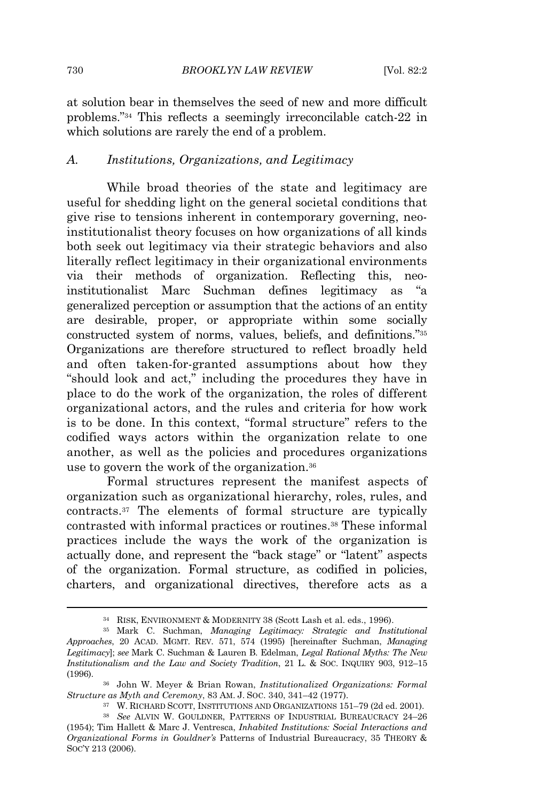at solution bear in themselves the seed of new and more difficult problems." <sup>34</sup> This reflects a seemingly irreconcilable catch-22 in which solutions are rarely the end of a problem.

#### *A. Institutions, Organizations, and Legitimacy*

While broad theories of the state and legitimacy are useful for shedding light on the general societal conditions that give rise to tensions inherent in contemporary governing, neoinstitutionalist theory focuses on how organizations of all kinds both seek out legitimacy via their strategic behaviors and also literally reflect legitimacy in their organizational environments via their methods of organization. Reflecting this, neoinstitutionalist Marc Suchman defines legitimacy as "a generalized perception or assumption that the actions of an entity are desirable, proper, or appropriate within some socially constructed system of norms, values, beliefs, and definitions." 35 Organizations are therefore structured to reflect broadly held and often taken-for-granted assumptions about how they "should look and act," including the procedures they have in place to do the work of the organization, the roles of different organizational actors, and the rules and criteria for how work is to be done. In this context, "formal structure" refers to the codified ways actors within the organization relate to one another, as well as the policies and procedures organizations use to govern the work of the organization.<sup>36</sup>

Formal structures represent the manifest aspects of organization such as organizational hierarchy, roles, rules, and contracts.<sup>37</sup> The elements of formal structure are typically contrasted with informal practices or routines.<sup>38</sup> These informal practices include the ways the work of the organization is actually done, and represent the "back stage" or "latent" aspects of the organization. Formal structure, as codified in policies, charters, and organizational directives, therefore acts as a

<sup>34</sup> RISK, ENVIRONMENT & MODERNITY 38 (Scott Lash et al. eds., 1996).

<sup>35</sup> Mark C. Suchman, *Managing Legitimacy: Strategic and Institutional Approaches*, 20 ACAD. MGMT. REV. 571, 574 (1995) [hereinafter Suchman, *Managing Legitimacy*]; *see* Mark C. Suchman & Lauren B. Edelman, *Legal Rational Myths: The New Institutionalism and the Law and Society Tradition*, 21 L. & SOC. INQUIRY 903, 912–15 (1996).

<sup>36</sup> John W. Meyer & Brian Rowan, *Institutionalized Organizations: Formal Structure as Myth and Ceremony*, 83 AM. J. SOC. 340, 341–42 (1977).

<sup>37</sup> W. RICHARD SCOTT, INSTITUTIONS AND ORGANIZATIONS 151–79 (2d ed. 2001).

<sup>38</sup> *See* ALVIN W. GOULDNER, PATTERNS OF INDUSTRIAL BUREAUCRACY 24–26 (1954); Tim Hallett & Marc J. Ventresca, *Inhabited Institutions: Social Interactions and Organizational Forms in Gouldner's* Patterns of Industrial Bureaucracy, 35 THEORY & SOC'<sup>Y</sup> 213 (2006).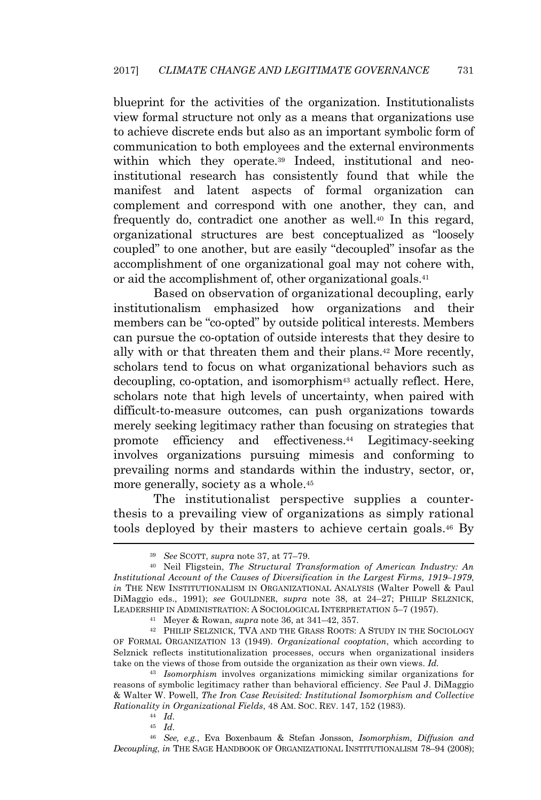blueprint for the activities of the organization. Institutionalists view formal structure not only as a means that organizations use to achieve discrete ends but also as an important symbolic form of communication to both employees and the external environments within which they operate.<sup>39</sup> Indeed, institutional and neoinstitutional research has consistently found that while the manifest and latent aspects of formal organization can complement and correspond with one another, they can, and frequently do, contradict one another as well.<sup>40</sup> In this regard, organizational structures are best conceptualized as "loosely coupled" to one another, but are easily "decoupled" insofar as the accomplishment of one organizational goal may not cohere with, or aid the accomplishment of, other organizational goals.<sup>41</sup>

Based on observation of organizational decoupling, early institutionalism emphasized how organizations and their members can be "co-opted" by outside political interests. Members can pursue the co-optation of outside interests that they desire to ally with or that threaten them and their plans.<sup>42</sup> More recently, scholars tend to focus on what organizational behaviors such as decoupling, co-optation, and isomorphism<sup>43</sup> actually reflect. Here, scholars note that high levels of uncertainty, when paired with difficult-to-measure outcomes, can push organizations towards merely seeking legitimacy rather than focusing on strategies that promote efficiency and effectiveness.<sup>44</sup> Legitimacy-seeking involves organizations pursuing mimesis and conforming to prevailing norms and standards within the industry, sector, or, more generally, society as a whole.<sup>45</sup>

The institutionalist perspective supplies a counterthesis to a prevailing view of organizations as simply rational tools deployed by their masters to achieve certain goals.<sup>46</sup> By

<sup>39</sup> *See* SCOTT, *supra* note 37, at 77–79.

<sup>40</sup> Neil Fligstein, *The Structural Transformation of American Industry: An Institutional Account of the Causes of Diversification in the Largest Firms, 1919–1979*, *in* THE NEW INSTITUTIONALISM IN ORGANIZATIONAL ANALYSIS (Walter Powell & Paul DiMaggio eds., 1991); *see* GOULDNER, *supra* note 38, at 24–27; PHILIP SELZNICK, LEADERSHIP IN ADMINISTRATION: A SOCIOLOGICAL INTERPRETATION 5–7 (1957).

<sup>41</sup> Meyer & Rowan, *supra* note 36, at 341–42, 357.

<sup>42</sup> PHILIP SELZNICK, TVA AND THE GRASS ROOTS: A STUDY IN THE SOCIOLOGY OF FORMAL ORGANIZATION 13 (1949). *Organizational cooptation*, which according to Selznick reflects institutionalization processes, occurs when organizational insiders take on the views of those from outside the organization as their own views. *Id.*

<sup>43</sup> *Isomorphism* involves organizations mimicking similar organizations for reasons of symbolic legitimacy rather than behavioral efficiency. *See* Paul J. DiMaggio & Walter W. Powell, *The Iron Case Revisited: Institutional Isomorphism and Collective Rationality in Organizational Fields*, 48 AM. SOC. REV. 147, 152 (1983).

<sup>44</sup> *Id.*

<sup>45</sup> *Id.*

<sup>46</sup> *See, e.g.*, Eva Boxenbaum & Stefan Jonsson, *Isomorphism, Diffusion and Decoupling*, *in* THE SAGE HANDBOOK OF ORGANIZATIONAL INSTITUTIONALISM 78–94 (2008);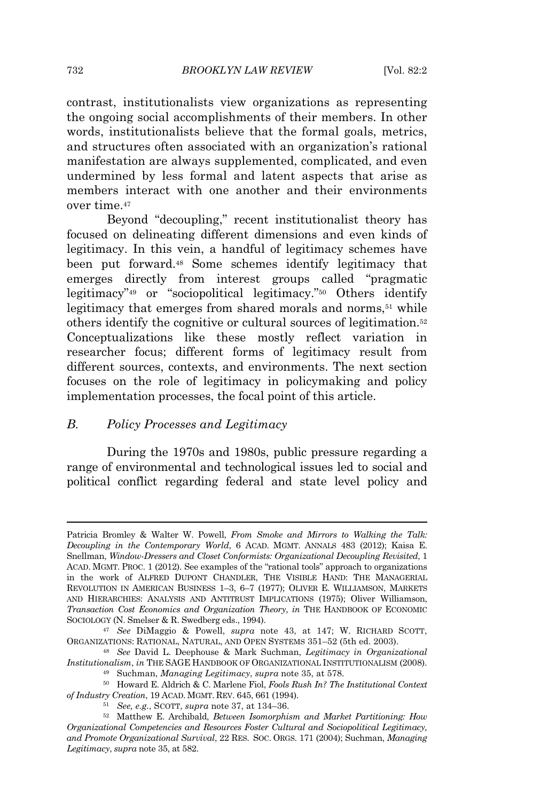contrast, institutionalists view organizations as representing the ongoing social accomplishments of their members. In other words, institutionalists believe that the formal goals, metrics, and structures often associated with an organization's rational manifestation are always supplemented, complicated, and even undermined by less formal and latent aspects that arise as members interact with one another and their environments over time.<sup>47</sup>

Beyond "decoupling," recent institutionalist theory has focused on delineating different dimensions and even kinds of legitimacy. In this vein, a handful of legitimacy schemes have been put forward.<sup>48</sup> Some schemes identify legitimacy that emerges directly from interest groups called "pragmatic legitimacy" <sup>49</sup> or "sociopolitical legitimacy." <sup>50</sup> Others identify legitimacy that emerges from shared morals and norms,<sup>51</sup> while others identify the cognitive or cultural sources of legitimation.<sup>52</sup> Conceptualizations like these mostly reflect variation in researcher focus; different forms of legitimacy result from different sources, contexts, and environments. The next section focuses on the role of legitimacy in policymaking and policy implementation processes, the focal point of this article.

#### *B. Policy Processes and Legitimacy*

During the 1970s and 1980s, public pressure regarding a range of environmental and technological issues led to social and political conflict regarding federal and state level policy and

Patricia Bromley & Walter W. Powell, *From Smoke and Mirrors to Walking the Talk: Decoupling in the Contemporary World*, 6 ACAD. MGMT. ANNALS 483 (2012); Kaisa E. Snellman, *Window-Dressers and Closet Conformists: Organizational Decoupling Revisited*, 1 ACAD. MGMT. PROC. 1 (2012). See examples of the "rational tools" approach to organizations in the work of ALFRED DUPONT CHANDLER, THE VISIBLE HAND: THE MANAGERIAL REVOLUTION IN AMERICAN BUSINESS 1–3, 6–7 (1977); OLIVER E. WILLIAMSON, MARKETS AND HIERARCHIES: ANALYSIS AND ANTITRUST IMPLICATIONS (1975); Oliver Williamson, *Transaction Cost Economics and Organization Theory*, *in* THE HANDBOOK OF ECONOMIC SOCIOLOGY (N. Smelser & R. Swedberg eds., 1994).

<sup>47</sup> *See* DiMaggio & Powell, *supra* note 43, at 147; W. RICHARD SCOTT, ORGANIZATIONS: RATIONAL, NATURAL, AND OPEN SYSTEMS 351–52 (5th ed. 2003).

<sup>48</sup> *See* David L. Deephouse & Mark Suchman, *Legitimacy in Organizational Institutionalism*, *in* THE SAGE HANDBOOK OF ORGANIZATIONAL INSTITUTIONALISM (2008).

<sup>49</sup> Suchman, *Managing Legitimacy*, *supra* note 35, at 578.

<sup>50</sup> Howard E. Aldrich & C. Marlene Fiol, *Fools Rush In? The Institutional Context of Industry Creation*, 19 ACAD. MGMT. REV. 645, 661 (1994).

<sup>51</sup> *See, e.g.*, SCOTT, *supra* note 37, at 134–36.

<sup>52</sup> Matthew E. Archibald, *Between Isomorphism and Market Partitioning: How Organizational Competencies and Resources Foster Cultural and Sociopolitical Legitimacy, and Promote Organizational Survival*, 22 RES. SOC. ORGS. 171 (2004); Suchman, *Managing Legitimacy*, *supra* note 35, at 582.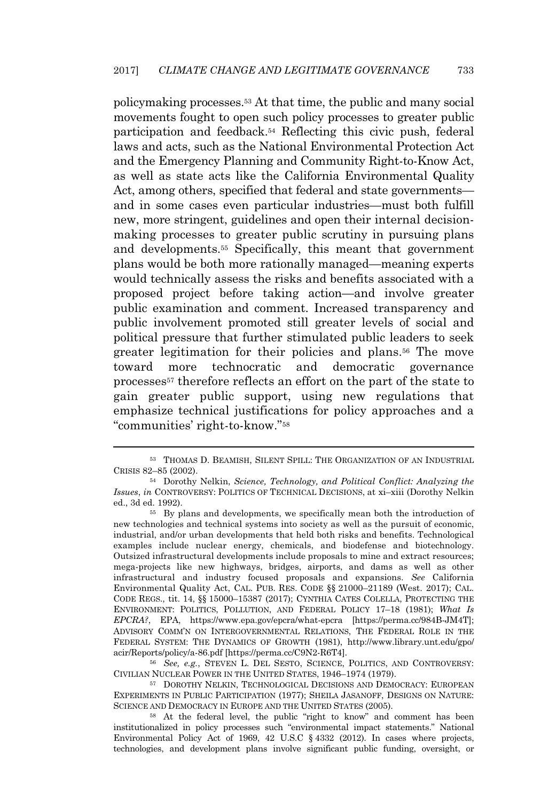policymaking processes.<sup>53</sup> At that time, the public and many social movements fought to open such policy processes to greater public participation and feedback.<sup>54</sup> Reflecting this civic push, federal laws and acts, such as the National Environmental Protection Act and the Emergency Planning and Community Right-to-Know Act, as well as state acts like the California Environmental Quality Act, among others, specified that federal and state governments and in some cases even particular industries—must both fulfill new, more stringent, guidelines and open their internal decisionmaking processes to greater public scrutiny in pursuing plans and developments.<sup>55</sup> Specifically, this meant that government plans would be both more rationally managed—meaning experts would technically assess the risks and benefits associated with a proposed project before taking action—and involve greater public examination and comment. Increased transparency and public involvement promoted still greater levels of social and political pressure that further stimulated public leaders to seek greater legitimation for their policies and plans.<sup>56</sup> The move toward more technocratic and democratic governance processes<sup>57</sup> therefore reflects an effort on the part of the state to gain greater public support, using new regulations that emphasize technical justifications for policy approaches and a "communities' right-to-know." 58

<sup>56</sup> *See, e.g.*, STEVEN L. DEL SESTO, SCIENCE, POLITICS, AND CONTROVERSY: CIVILIAN NUCLEAR POWER IN THE UNITED STATES, 1946–1974 (1979).

<sup>57</sup> DOROTHY NELKIN, TECHNOLOGICAL DECISIONS AND DEMOCRACY: EUROPEAN EXPERIMENTS IN PUBLIC PARTICIPATION (1977); SHEILA JASANOFF, DESIGNS ON NATURE: SCIENCE AND DEMOCRACY IN EUROPE AND THE UNITED STATES (2005).

<sup>58</sup> At the federal level, the public "right to know" and comment has been institutionalized in policy processes such "environmental impact statements." National Environmental Policy Act of 1969, 42 U.S.C § 4332 (2012). In cases where projects, technologies, and development plans involve significant public funding, oversight, or

<sup>53</sup> THOMAS D. BEAMISH, SILENT SPILL: THE ORGANIZATION OF AN INDUSTRIAL CRISIS 82–85 (2002).

<sup>54</sup> Dorothy Nelkin, *Science, Technology, and Political Conflict: Analyzing the Issues*, *in* CONTROVERSY: POLITICS OF TECHNICAL DECISIONS, at xi–xiii (Dorothy Nelkin ed., 3d ed. 1992).

<sup>&</sup>lt;sup>55</sup> By plans and developments, we specifically mean both the introduction of new technologies and technical systems into society as well as the pursuit of economic, industrial, and/or urban developments that held both risks and benefits. Technological examples include nuclear energy, chemicals, and biodefense and biotechnology. Outsized infrastructural developments include proposals to mine and extract resources; mega-projects like new highways, bridges, airports, and dams as well as other infrastructural and industry focused proposals and expansions. *See* California Environmental Quality Act, CAL. PUB. RES. CODE §§ 21000–21189 (West. 2017); CAL. CODE REGS., tit. 14, §§ 15000–15387 (2017); CYNTHIA CATES COLELLA, PROTECTING THE ENVIRONMENT: POLITICS, POLLUTION, AND FEDERAL POLICY 17–18 (1981); *What Is EPCRA?*, EPA, https://www.epa.gov/epcra/what-epcra [https://perma.cc/984B-JM4T]; ADVISORY COMM'<sup>N</sup> ON INTERGOVERNMENTAL RELATIONS, THE FEDERAL ROLE IN THE FEDERAL SYSTEM: THE DYNAMICS OF GROWTH (1981), http://www.library.unt.edu/gpo/ acir/Reports/policy/a-86.pdf [https://perma.cc/C9N2-R6T4].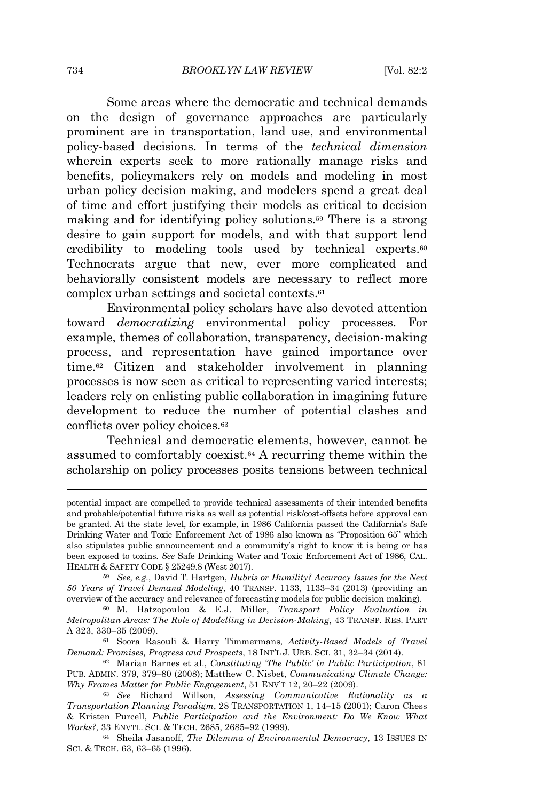Some areas where the democratic and technical demands on the design of governance approaches are particularly prominent are in transportation, land use, and environmental policy-based decisions. In terms of the *technical dimension* wherein experts seek to more rationally manage risks and benefits, policymakers rely on models and modeling in most urban policy decision making, and modelers spend a great deal of time and effort justifying their models as critical to decision making and for identifying policy solutions.<sup>59</sup> There is a strong desire to gain support for models, and with that support lend credibility to modeling tools used by technical experts.<sup>60</sup> Technocrats argue that new, ever more complicated and behaviorally consistent models are necessary to reflect more complex urban settings and societal contexts.<sup>61</sup>

Environmental policy scholars have also devoted attention toward *democratizing* environmental policy processes. For example, themes of collaboration, transparency, decision-making process, and representation have gained importance over time.<sup>62</sup> Citizen and stakeholder involvement in planning processes is now seen as critical to representing varied interests; leaders rely on enlisting public collaboration in imagining future development to reduce the number of potential clashes and conflicts over policy choices.<sup>63</sup>

Technical and democratic elements, however, cannot be assumed to comfortably coexist.<sup>64</sup> A recurring theme within the scholarship on policy processes posits tensions between technical

<sup>64</sup> Sheila Jasanoff, *The Dilemma of Environmental Democracy*, 13 ISSUES IN SCI. & TECH. 63, 63–65 (1996).

potential impact are compelled to provide technical assessments of their intended benefits and probable/potential future risks as well as potential risk/cost-offsets before approval can be granted. At the state level, for example, in 1986 California passed the California's Safe Drinking Water and Toxic Enforcement Act of 1986 also known as "Proposition 65" which also stipulates public announcement and a community's right to know it is being or has been exposed to toxins. *See* Safe Drinking Water and Toxic Enforcement Act of 1986, CAL. HEALTH & SAFETY CODE § 25249.8 (West 2017).

<sup>59</sup> *See, e.g.*, David T. Hartgen, *Hubris or Humility? Accuracy Issues for the Next 50 Years of Travel Demand Modeling*, 40 TRANSP. 1133, 1133–34 (2013) (providing an overview of the accuracy and relevance of forecasting models for public decision making).

<sup>60</sup> M. Hatzopoulou & E.J. Miller, *Transport Policy Evaluation in Metropolitan Areas: The Role of Modelling in Decision-Making*, 43 TRANSP. RES. PART A 323, 330–35 (2009).

<sup>61</sup> Soora Rasouli & Harry Timmermans, *Activity-Based Models of Travel Demand: Promises, Progress and Prospects*, 18 INT'<sup>L</sup> J. URB. SCI. 31, 32–34 (2014).

<sup>62</sup> Marian Barnes et al., *Constituting 'The Public' in Public Participation*, 81 PUB. ADMIN. 379, 379–80 (2008); Matthew C. Nisbet, *Communicating Climate Change: Why Frames Matter for Public Engagement*, 51 ENV'<sup>T</sup> 12, 20–22 (2009).

<sup>63</sup> *See* Richard Willson, *Assessing Communicative Rationality as a Transportation Planning Paradigm*, 28 TRANSPORTATION 1, 14–15 (2001); Caron Chess & Kristen Purcell, *Public Participation and the Environment: Do We Know What Works?*, 33 ENVTL. SCI. & TECH. 2685, 2685–92 (1999).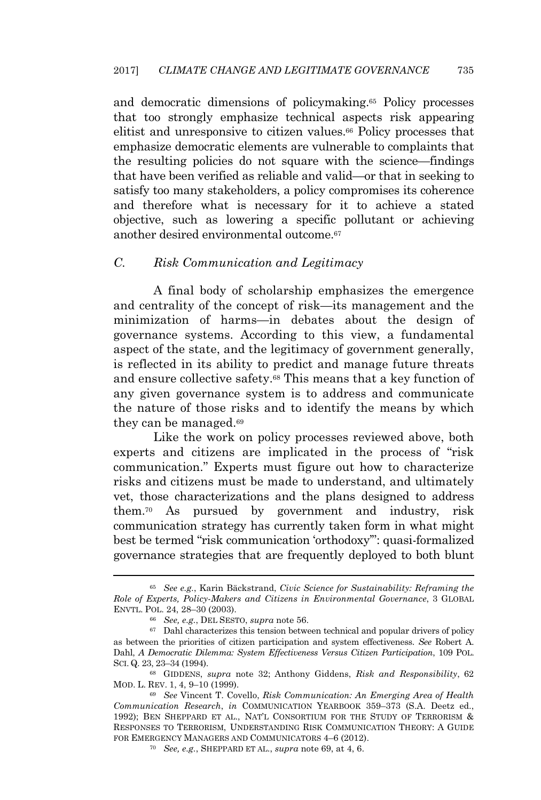and democratic dimensions of policymaking.<sup>65</sup> Policy processes that too strongly emphasize technical aspects risk appearing elitist and unresponsive to citizen values.<sup>66</sup> Policy processes that emphasize democratic elements are vulnerable to complaints that the resulting policies do not square with the science—findings that have been verified as reliable and valid—or that in seeking to satisfy too many stakeholders, a policy compromises its coherence and therefore what is necessary for it to achieve a stated objective, such as lowering a specific pollutant or achieving another desired environmental outcome.<sup>67</sup>

# *C. Risk Communication and Legitimacy*

A final body of scholarship emphasizes the emergence and centrality of the concept of risk—its management and the minimization of harms—in debates about the design of governance systems. According to this view, a fundamental aspect of the state, and the legitimacy of government generally, is reflected in its ability to predict and manage future threats and ensure collective safety.<sup>68</sup> This means that a key function of any given governance system is to address and communicate the nature of those risks and to identify the means by which they can be managed.<sup>69</sup>

Like the work on policy processes reviewed above, both experts and citizens are implicated in the process of "risk communication." Experts must figure out how to characterize risks and citizens must be made to understand, and ultimately vet, those characterizations and the plans designed to address them.<sup>70</sup> As pursued by government and industry, risk communication strategy has currently taken form in what might best be termed "risk communication 'orthodoxy'": quasi-formalized governance strategies that are frequently deployed to both blunt

<sup>65</sup> *See e.g.*, Karin Bäckstrand, *Civic Science for Sustainability: Reframing the Role of Experts, Policy-Makers and Citizens in Environmental Governance*, 3 GLOBAL ENVTL. POL. 24, 28–30 (2003).

<sup>66</sup> *See, e.g.*, DEL SESTO, *supra* note 56.

 $67$  Dahl characterizes this tension between technical and popular drivers of policy as between the priorities of citizen participation and system effectiveness. *See* Robert A. Dahl, *A Democratic Dilemma: System Effectiveness Versus Citizen Participation*, 109 POL. SCI. Q. 23, 23–34 (1994).

<sup>68</sup> GIDDENS, *supra* note 32; Anthony Giddens, *Risk and Responsibility*, 62 MOD. L. REV. 1, 4, 9–10 (1999).

<sup>69</sup> *See* Vincent T. Covello, *Risk Communication: An Emerging Area of Health Communication Research*, *in* COMMUNICATION YEARBOOK 359–373 (S.A. Deetz ed., 1992); BEN SHEPPARD ET AL., NAT'<sup>L</sup> CONSORTIUM FOR THE STUDY OF TERRORISM & RESPONSES TO TERRORISM, UNDERSTANDING RISK COMMUNICATION THEORY: A GUIDE FOR EMERGENCY MANAGERS AND COMMUNICATORS 4–6 (2012).

<sup>70</sup> *See, e.g.*, SHEPPARD ET AL., *supra* note 69, at 4, 6.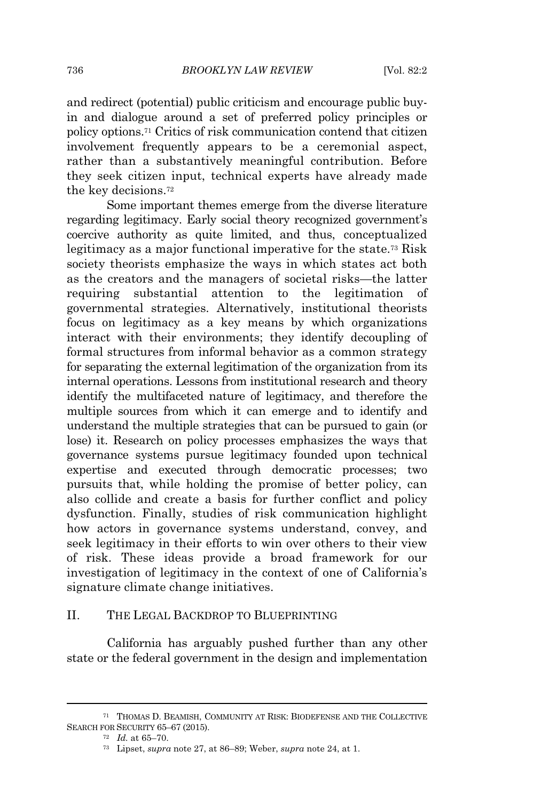and redirect (potential) public criticism and encourage public buyin and dialogue around a set of preferred policy principles or policy options.<sup>71</sup> Critics of risk communication contend that citizen involvement frequently appears to be a ceremonial aspect, rather than a substantively meaningful contribution. Before they seek citizen input, technical experts have already made the key decisions.<sup>72</sup>

Some important themes emerge from the diverse literature regarding legitimacy. Early social theory recognized government's coercive authority as quite limited, and thus, conceptualized legitimacy as a major functional imperative for the state.<sup>73</sup> Risk society theorists emphasize the ways in which states act both as the creators and the managers of societal risks—the latter requiring substantial attention to the legitimation of governmental strategies. Alternatively, institutional theorists focus on legitimacy as a key means by which organizations interact with their environments; they identify decoupling of formal structures from informal behavior as a common strategy for separating the external legitimation of the organization from its internal operations. Lessons from institutional research and theory identify the multifaceted nature of legitimacy, and therefore the multiple sources from which it can emerge and to identify and understand the multiple strategies that can be pursued to gain (or lose) it. Research on policy processes emphasizes the ways that governance systems pursue legitimacy founded upon technical expertise and executed through democratic processes; two pursuits that, while holding the promise of better policy, can also collide and create a basis for further conflict and policy dysfunction. Finally, studies of risk communication highlight how actors in governance systems understand, convey, and seek legitimacy in their efforts to win over others to their view of risk. These ideas provide a broad framework for our investigation of legitimacy in the context of one of California's signature climate change initiatives.

#### II. THE LEGAL BACKDROP TO BLUEPRINTING

California has arguably pushed further than any other state or the federal government in the design and implementation

<sup>71</sup> THOMAS D. BEAMISH, COMMUNITY AT RISK: BIODEFENSE AND THE COLLECTIVE SEARCH FOR SECURITY 65–67 (2015).

<sup>72</sup> *Id.* at 65–70.

<sup>73</sup> Lipset, *supra* note 27, at 86–89; Weber, *supra* note 24, at 1.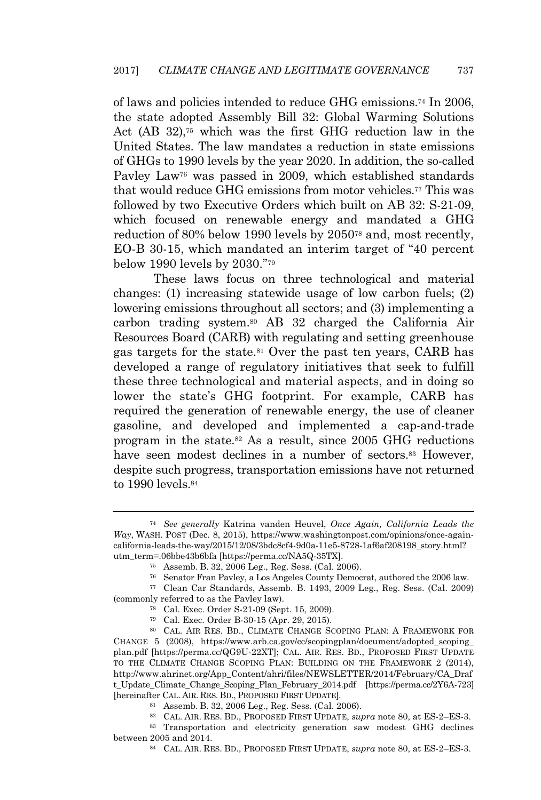of laws and policies intended to reduce GHG emissions.<sup>74</sup> In 2006, the state adopted Assembly Bill 32: Global Warming Solutions Act (AB 32),<sup>75</sup> which was the first GHG reduction law in the United States. The law mandates a reduction in state emissions of GHGs to 1990 levels by the year 2020. In addition, the so-called Pavley Law<sup>76</sup> was passed in 2009, which established standards that would reduce GHG emissions from motor vehicles.<sup>77</sup> This was followed by two Executive Orders which built on AB 32: S-21-09, which focused on renewable energy and mandated a GHG reduction of 80% below 1990 levels by 2050<sup>78</sup> and, most recently, EO-B 30-15, which mandated an interim target of "40 percent below 1990 levels by 2030." 79

These laws focus on three technological and material changes: (1) increasing statewide usage of low carbon fuels; (2) lowering emissions throughout all sectors; and (3) implementing a carbon trading system.<sup>80</sup> AB 32 charged the California Air Resources Board (CARB) with regulating and setting greenhouse gas targets for the state.<sup>81</sup> Over the past ten years, CARB has developed a range of regulatory initiatives that seek to fulfill these three technological and material aspects, and in doing so lower the state's GHG footprint. For example, CARB has required the generation of renewable energy, the use of cleaner gasoline, and developed and implemented a cap-and-trade program in the state.<sup>82</sup> As a result, since 2005 GHG reductions have seen modest declines in a number of sectors.<sup>83</sup> However, despite such progress, transportation emissions have not returned to 1990 levels.<sup>84</sup>

<sup>74</sup> *See generally* Katrina vanden Heuvel, *Once Again, California Leads the Way*, WASH. POST (Dec. 8, 2015), https://www.washingtonpost.com/opinions/once-againcalifornia-leads-the-way/2015/12/08/3bdc8cf4-9d0a-11e5-8728-1af6af208198\_story.html? utm\_term=.06bbe43b6bfa [https://perma.cc/NA5Q-35TX].

<sup>75</sup> Assemb. B. 32, 2006 Leg., Reg. Sess. (Cal. 2006).

<sup>76</sup> Senator Fran Pavley, a Los Angeles County Democrat, authored the 2006 law.

<sup>77</sup> Clean Car Standards, Assemb. B. 1493, 2009 Leg., Reg. Sess. (Cal. 2009) (commonly referred to as the Pavley law).

<sup>78</sup> Cal. Exec. Order S-21-09 (Sept. 15, 2009).

<sup>79</sup> Cal. Exec. Order B-30-15 (Apr. 29, 2015).

<sup>80</sup> CAL. AIR RES. BD., CLIMATE CHANGE SCOPING PLAN: A FRAMEWORK FOR CHANGE 5 (2008), https://www.arb.ca.gov/cc/scopingplan/document/adopted\_scoping\_ plan.pdf [https://perma.cc/QG9U-22XT]; CAL. AIR. RES. BD., PROPOSED FIRST UPDATE TO THE CLIMATE CHANGE SCOPING PLAN: BUILDING ON THE FRAMEWORK 2 (2014), http://www.ahrinet.org/App\_Content/ahri/files/NEWSLETTER/2014/February/CA\_Draf t\_Update\_Climate\_Change\_Scoping\_Plan\_February\_2014.pdf [https://perma.cc/2Y6A-723] [hereinafter CAL. AIR. RES. BD., PROPOSED FIRST UPDATE].

<sup>81</sup> Assemb. B. 32, 2006 Leg., Reg. Sess. (Cal. 2006).

<sup>82</sup> CAL. AIR. RES. BD., PROPOSED FIRST UPDATE, *supra* note 80, at ES-2–ES-3. <sup>83</sup> Transportation and electricity generation saw modest GHG declines

between 2005 and 2014.

<sup>84</sup> CAL. AIR. RES. BD., PROPOSED FIRST UPDATE, *supra* note 80, at ES-2–ES-3.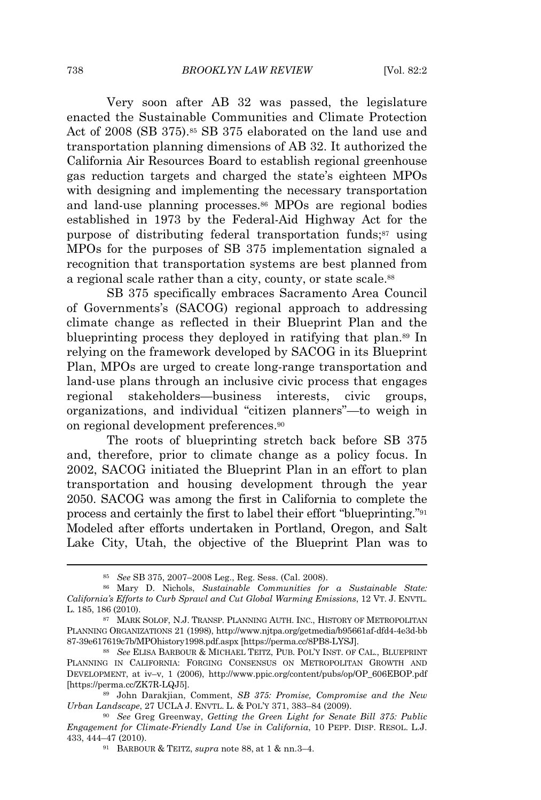Very soon after AB 32 was passed, the legislature enacted the Sustainable Communities and Climate Protection Act of 2008 (SB 375).<sup>85</sup> SB 375 elaborated on the land use and transportation planning dimensions of AB 32. It authorized the California Air Resources Board to establish regional greenhouse gas reduction targets and charged the state's eighteen MPOs with designing and implementing the necessary transportation and land-use planning processes.<sup>86</sup> MPOs are regional bodies established in 1973 by the Federal-Aid Highway Act for the purpose of distributing federal transportation funds;<sup>87</sup> using MPOs for the purposes of SB 375 implementation signaled a recognition that transportation systems are best planned from a regional scale rather than a city, county, or state scale.<sup>88</sup>

SB 375 specifically embraces Sacramento Area Council of Governments's (SACOG) regional approach to addressing climate change as reflected in their Blueprint Plan and the blueprinting process they deployed in ratifying that plan.<sup>89</sup> In relying on the framework developed by SACOG in its Blueprint Plan, MPOs are urged to create long-range transportation and land-use plans through an inclusive civic process that engages regional stakeholders—business interests, civic groups, organizations, and individual "citizen planners"—to weigh in on regional development preferences.<sup>90</sup>

The roots of blueprinting stretch back before SB 375 and, therefore, prior to climate change as a policy focus. In 2002, SACOG initiated the Blueprint Plan in an effort to plan transportation and housing development through the year 2050. SACOG was among the first in California to complete the process and certainly the first to label their effort "blueprinting."<sup>91</sup> Modeled after efforts undertaken in Portland, Oregon, and Salt Lake City, Utah, the objective of the Blueprint Plan was to

<sup>85</sup> *See* SB 375, 2007–2008 Leg., Reg. Sess. (Cal. 2008).

<sup>86</sup> Mary D. Nichols, *Sustainable Communities for a Sustainable State: California's Efforts to Curb Sprawl and Cut Global Warming Emissions*, 12 VT. J. ENVTL. L. 185, 186 (2010).

<sup>87</sup> MARK SOLOF, N.J. TRANSP. PLANNING AUTH. INC., HISTORY OF METROPOLITAN PLANNING ORGANIZATIONS 21 (1998), http://www.njtpa.org/getmedia/b95661af-dfd4-4e3d-bb 87-39e617619c7b/MPOhistory1998.pdf.aspx [https://perma.cc/8PB8-LYSJ].

<sup>88</sup> *See* ELISA BARBOUR & MICHAEL TEITZ, PUB. POL'<sup>Y</sup> INST. OF CAL., BLUEPRINT PLANNING IN CALIFORNIA: FORGING CONSENSUS ON METROPOLITAN GROWTH AND DEVELOPMENT, at iv–v, 1 (2006), http://www.ppic.org/content/pubs/op/OP\_606EBOP.pdf [https://perma.cc/ZK7R-LQJ5].

<sup>89</sup> John Darakjian, Comment, *SB 375: Promise, Compromise and the New Urban Landscape*, 27 UCLA J. ENVTL. L. & POL'<sup>Y</sup> 371, 383–84 (2009).

<sup>90</sup> *See* Greg Greenway, *Getting the Green Light for Senate Bill 375: Public Engagement for Climate-Friendly Land Use in California*, 10 PEPP. DISP. RESOL. L.J. 433, 444–47 (2010).

<sup>91</sup> BARBOUR & TEITZ, *supra* note 88, at 1 & nn.3–4.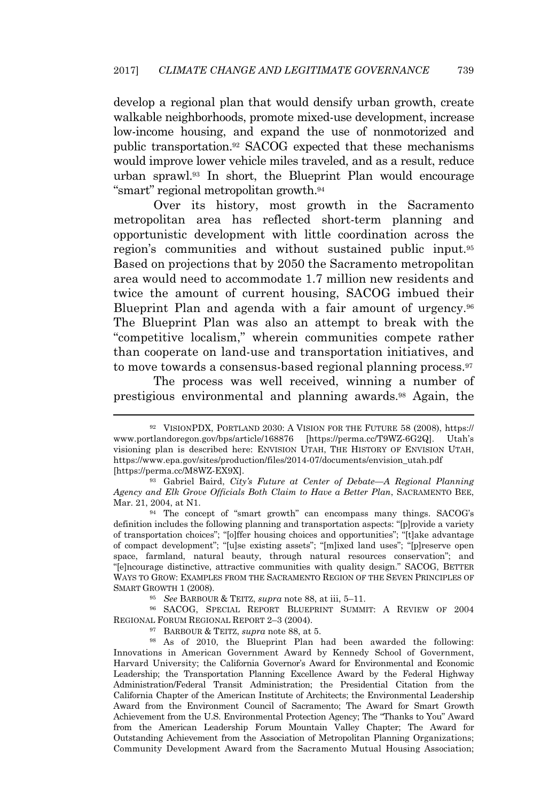develop a regional plan that would densify urban growth, create walkable neighborhoods, promote mixed-use development, increase low-income housing, and expand the use of nonmotorized and public transportation.<sup>92</sup> SACOG expected that these mechanisms would improve lower vehicle miles traveled, and as a result, reduce urban sprawl.<sup>93</sup> In short, the Blueprint Plan would encourage "smart" regional metropolitan growth.<sup>94</sup>

Over its history, most growth in the Sacramento metropolitan area has reflected short-term planning and opportunistic development with little coordination across the region's communities and without sustained public input.<sup>95</sup> Based on projections that by 2050 the Sacramento metropolitan area would need to accommodate 1.7 million new residents and twice the amount of current housing, SACOG imbued their Blueprint Plan and agenda with a fair amount of urgency.<sup>96</sup> The Blueprint Plan was also an attempt to break with the "competitive localism," wherein communities compete rather than cooperate on land-use and transportation initiatives, and to move towards a consensus-based regional planning process.<sup>97</sup>

The process was well received, winning a number of prestigious environmental and planning awards.<sup>98</sup> Again, the

<sup>95</sup> *See* BARBOUR & TEITZ, *supra* note 88, at iii, 5–11.

<sup>96</sup> SACOG, SPECIAL REPORT BLUEPRINT SUMMIT: A REVIEW OF 2004 REGIONAL FORUM REGIONAL REPORT 2–3 (2004).

<sup>97</sup> BARBOUR & TEITZ, *supra* note 88, at 5.

<sup>98</sup> As of 2010, the Blueprint Plan had been awarded the following: Innovations in American Government Award by Kennedy School of Government, Harvard University; the California Governor's Award for Environmental and Economic Leadership; the Transportation Planning Excellence Award by the Federal Highway Administration/Federal Transit Administration; the Presidential Citation from the California Chapter of the American Institute of Architects; the Environmental Leadership Award from the Environment Council of Sacramento; The Award for Smart Growth Achievement from the U.S. Environmental Protection Agency; The "Thanks to You" Award from the American Leadership Forum Mountain Valley Chapter; The Award for Outstanding Achievement from the Association of Metropolitan Planning Organizations; Community Development Award from the Sacramento Mutual Housing Association;

<sup>92</sup> VISIONPDX, PORTLAND 2030: A VISION FOR THE FUTURE 58 (2008), https:// www.portlandoregon.gov/bps/article/168876 [https://perma.cc/T9WZ-6G2Q]. Utah's visioning plan is described here: ENVISION UTAH, THE HISTORY OF ENVISION UTAH, https://www.epa.gov/sites/production/files/2014-07/documents/envision\_utah.pdf [https://perma.cc/M8WZ-EX9X].

<sup>93</sup> Gabriel Baird, *City's Future at Center of Debate—A Regional Planning Agency and Elk Grove Officials Both Claim to Have a Better Plan*, SACRAMENTO BEE, Mar. 21, 2004, at N1.

<sup>94</sup> The concept of "smart growth" can encompass many things. SACOG's definition includes the following planning and transportation aspects: "[p]rovide a variety of transportation choices"; "[o]ffer housing choices and opportunities"; "[t]ake advantage of compact development"; "[u]se existing assets"; "[m]ixed land uses"; "[p]reserve open space, farmland, natural beauty, through natural resources conservation"; and "[e]ncourage distinctive, attractive communities with quality design." SACOG, BETTER WAYS TO GROW: EXAMPLES FROM THE SACRAMENTO REGION OF THE SEVEN PRINCIPLES OF SMART GROWTH 1 (2008).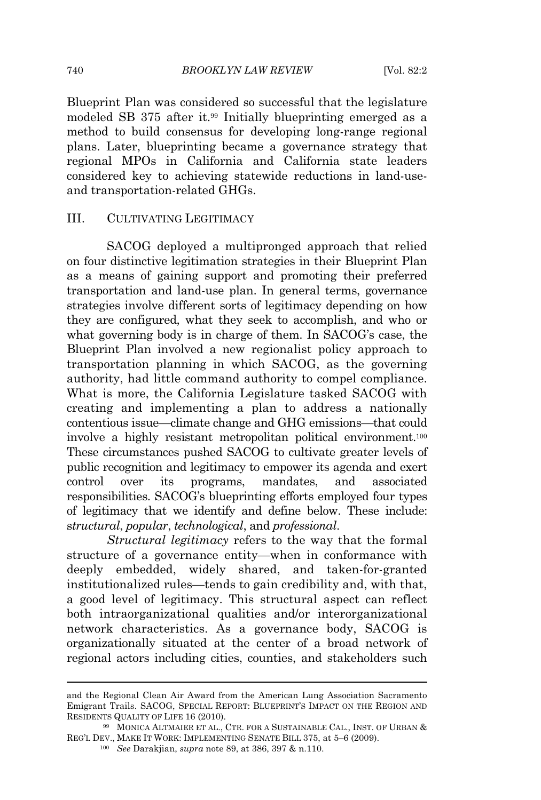Blueprint Plan was considered so successful that the legislature modeled SB 375 after it.<sup>99</sup> Initially blueprinting emerged as a method to build consensus for developing long-range regional plans. Later, blueprinting became a governance strategy that regional MPOs in California and California state leaders considered key to achieving statewide reductions in land-useand transportation-related GHGs.

### III. CULTIVATING LEGITIMACY

SACOG deployed a multipronged approach that relied on four distinctive legitimation strategies in their Blueprint Plan as a means of gaining support and promoting their preferred transportation and land-use plan. In general terms, governance strategies involve different sorts of legitimacy depending on how they are configured, what they seek to accomplish, and who or what governing body is in charge of them. In SACOG's case, the Blueprint Plan involved a new regionalist policy approach to transportation planning in which SACOG, as the governing authority, had little command authority to compel compliance. What is more, the California Legislature tasked SACOG with creating and implementing a plan to address a nationally contentious issue—climate change and GHG emissions—that could involve a highly resistant metropolitan political environment.<sup>100</sup> These circumstances pushed SACOG to cultivate greater levels of public recognition and legitimacy to empower its agenda and exert control over its programs, mandates, and associated responsibilities. SACOG's blueprinting efforts employed four types of legitimacy that we identify and define below. These include: s*tructural*, *popular*, *technological*, and *professional*.

*Structural legitimacy* refers to the way that the formal structure of a governance entity—when in conformance with deeply embedded, widely shared, and taken-for-granted institutionalized rules—tends to gain credibility and, with that, a good level of legitimacy. This structural aspect can reflect both intraorganizational qualities and/or interorganizational network characteristics. As a governance body, SACOG is organizationally situated at the center of a broad network of regional actors including cities, counties, and stakeholders such

and the Regional Clean Air Award from the American Lung Association Sacramento Emigrant Trails. SACOG, SPECIAL REPORT: BLUEPRINT'<sup>S</sup> IMPACT ON THE REGION AND RESIDENTS QUALITY OF LIFE 16 (2010).

<sup>99</sup> MONICA ALTMAIER ET AL., CTR. FOR A SUSTAINABLE CAL., INST. OF URBAN & REG'<sup>L</sup> DEV., MAKE I<sup>T</sup> WORK: IMPLEMENTING SENATE BILL 375, at 5–6 (2009).

<sup>100</sup> *See* Darakjian, *supra* note 89, at 386, 397 & n.110.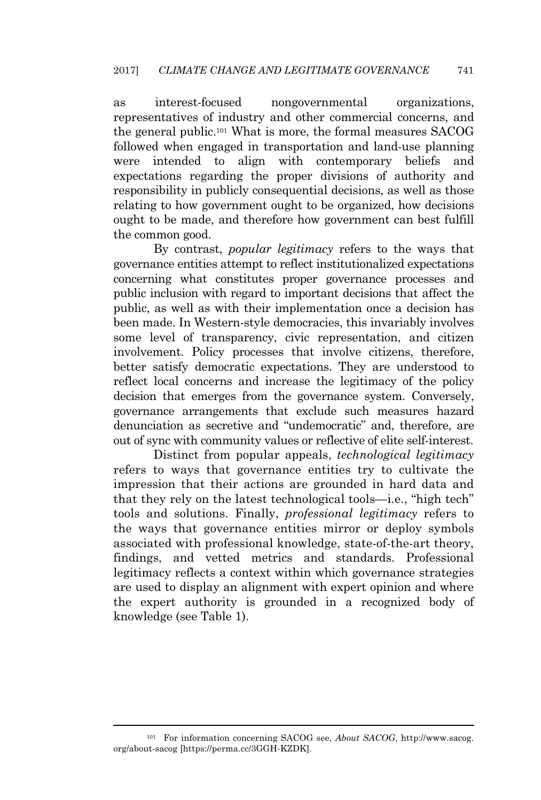as interest-focused nongovernmental organizations, representatives of industry and other commercial concerns, and the general public.<sup>101</sup> What is more, the formal measures SACOG followed when engaged in transportation and land-use planning were intended to align with contemporary beliefs and expectations regarding the proper divisions of authority and responsibility in publicly consequential decisions, as well as those relating to how government ought to be organized, how decisions ought to be made, and therefore how government can best fulfill the common good.

By contrast, *popular legitimacy* refers to the ways that governance entities attempt to reflect institutionalized expectations concerning what constitutes proper governance processes and public inclusion with regard to important decisions that affect the public, as well as with their implementation once a decision has been made. In Western-style democracies, this invariably involves some level of transparency, civic representation, and citizen involvement. Policy processes that involve citizens, therefore, better satisfy democratic expectations. They are understood to reflect local concerns and increase the legitimacy of the policy decision that emerges from the governance system. Conversely, governance arrangements that exclude such measures hazard denunciation as secretive and "undemocratic" and, therefore, are out of sync with community values or reflective of elite self-interest.

Distinct from popular appeals, *technological legitimacy* refers to ways that governance entities try to cultivate the impression that their actions are grounded in hard data and that they rely on the latest technological tools—i.e., "high tech" tools and solutions. Finally, *professional legitimacy* refers to the ways that governance entities mirror or deploy symbols associated with professional knowledge, state-of-the-art theory, findings, and vetted metrics and standards. Professional legitimacy reflects a context within which governance strategies are used to display an alignment with expert opinion and where the expert authority is grounded in a recognized body of knowledge (see Table 1).

<sup>101</sup> For information concerning SACOG see, *About SACOG*, http://www.sacog. org/about-sacog [https://perma.cc/3GGH-KZDK].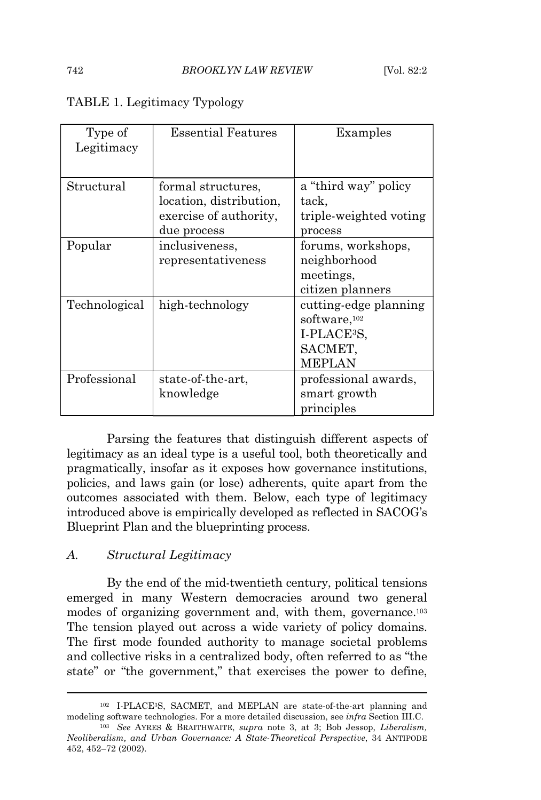| Type of       | <b>Essential Features</b> | Examples                 |
|---------------|---------------------------|--------------------------|
| Legitimacy    |                           |                          |
|               |                           |                          |
| Structural    | formal structures,        | a "third way" policy     |
|               | location, distribution,   | tack,                    |
|               | exercise of authority,    | triple-weighted voting   |
|               | due process               | process                  |
| Popular       | inclusiveness,            | forums, workshops,       |
|               | representativeness        | neighborhood             |
|               |                           | meetings,                |
|               |                           | citizen planners         |
| Technological | high-technology           | cutting-edge planning    |
|               |                           | software, <sup>102</sup> |
|               |                           | I-PLACE <sup>3</sup> S,  |
|               |                           | SACMET,                  |
|               |                           | <b>MEPLAN</b>            |
| Professional  | state-of-the-art,         | professional awards,     |
|               | knowledge                 | smart growth             |
|               |                           | principles               |

#### TABLE 1. Legitimacy Typology

Parsing the features that distinguish different aspects of legitimacy as an ideal type is a useful tool, both theoretically and pragmatically, insofar as it exposes how governance institutions, policies, and laws gain (or lose) adherents, quite apart from the outcomes associated with them. Below, each type of legitimacy introduced above is empirically developed as reflected in SACOG's Blueprint Plan and the blueprinting process.

#### *A. Structural Legitimacy*

By the end of the mid-twentieth century, political tensions emerged in many Western democracies around two general modes of organizing government and, with them, governance.<sup>103</sup> The tension played out across a wide variety of policy domains. The first mode founded authority to manage societal problems and collective risks in a centralized body, often referred to as "the state" or "the government," that exercises the power to define,

<sup>102</sup> I-PLACE3S, SACMET, and MEPLAN are state-of-the-art planning and modeling software technologies. For a more detailed discussion, see *infra* Section III.C.

<sup>103</sup> *See* AYRES & BRAITHWAITE, *supra* note 3, at 3; Bob Jessop, *Liberalism, Neoliberalism, and Urban Governance: A State-Theoretical Perspective*, 34 ANTIPODE 452, 452–72 (2002).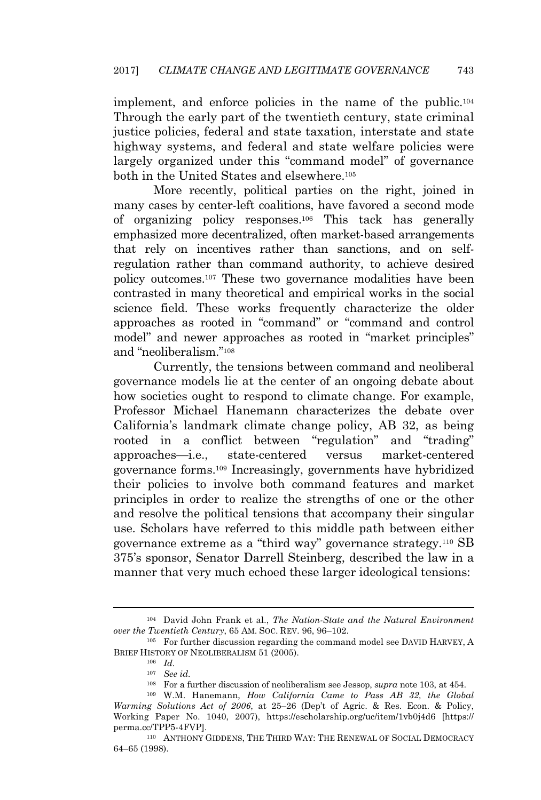implement, and enforce policies in the name of the public.<sup>104</sup> Through the early part of the twentieth century, state criminal justice policies, federal and state taxation, interstate and state highway systems, and federal and state welfare policies were largely organized under this "command model" of governance both in the United States and elsewhere.<sup>105</sup>

More recently, political parties on the right, joined in many cases by center-left coalitions, have favored a second mode of organizing policy responses.<sup>106</sup> This tack has generally emphasized more decentralized, often market-based arrangements that rely on incentives rather than sanctions, and on selfregulation rather than command authority, to achieve desired policy outcomes.<sup>107</sup> These two governance modalities have been contrasted in many theoretical and empirical works in the social science field. These works frequently characterize the older approaches as rooted in "command" or "command and control model" and newer approaches as rooted in "market principles" and "neoliberalism." 108

Currently, the tensions between command and neoliberal governance models lie at the center of an ongoing debate about how societies ought to respond to climate change. For example, Professor Michael Hanemann characterizes the debate over California's landmark climate change policy, AB 32, as being rooted in a conflict between "regulation" and "trading" approaches—i.e., state-centered versus market-centered governance forms.<sup>109</sup> Increasingly, governments have hybridized their policies to involve both command features and market principles in order to realize the strengths of one or the other and resolve the political tensions that accompany their singular use. Scholars have referred to this middle path between either governance extreme as a "third way" governance strategy.<sup>110</sup> SB 375's sponsor, Senator Darrell Steinberg, described the law in a manner that very much echoed these larger ideological tensions:

<sup>104</sup> David John Frank et al., *The Nation-State and the Natural Environment over the Twentieth Century*, 65 AM. SOC. REV. 96, 96–102.

<sup>&</sup>lt;sup>105</sup> For further discussion regarding the command model see DAVID HARVEY, A BRIEF HISTORY OF NEOLIBERALISM 51 (2005).

<sup>106</sup> *Id.*

<sup>107</sup> *See id.*

<sup>108</sup> For a further discussion of neoliberalism see Jessop, *supra* note 103, at 454.

<sup>109</sup> W.M. Hanemann, *How California Came to Pass AB 32, the Global Warming Solutions Act of 2006*, at 25–26 (Dep't of Agric. & Res. Econ. & Policy, Working Paper No. 1040, 2007), https://escholarship.org/uc/item/1vb0j4d6 [https:// perma.cc/TPP5-4FVP].

<sup>110</sup> ANTHONY GIDDENS, THE THIRD WAY: THE RENEWAL OF SOCIAL DEMOCRACY 64–65 (1998).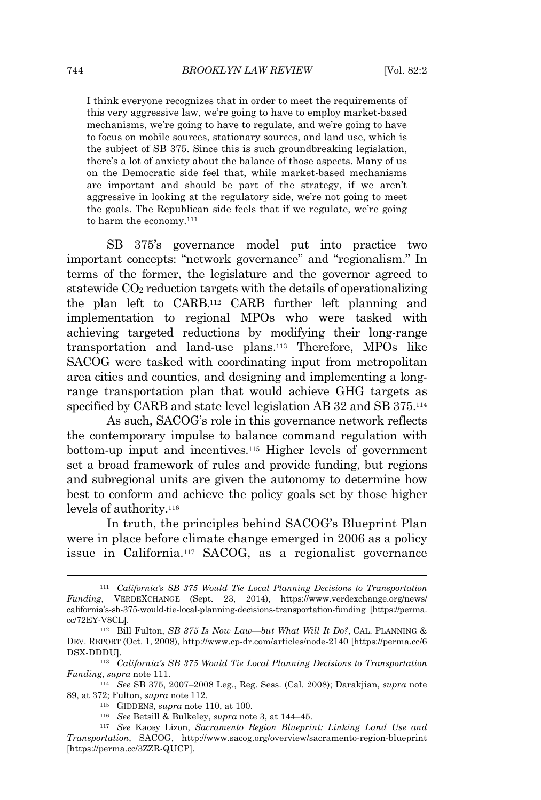I think everyone recognizes that in order to meet the requirements of this very aggressive law, we're going to have to employ market-based mechanisms, we're going to have to regulate, and we're going to have to focus on mobile sources, stationary sources, and land use, which is the subject of SB 375. Since this is such groundbreaking legislation, there's a lot of anxiety about the balance of those aspects. Many of us on the Democratic side feel that, while market-based mechanisms are important and should be part of the strategy, if we aren't aggressive in looking at the regulatory side, we're not going to meet the goals. The Republican side feels that if we regulate, we're going to harm the economy.<sup>111</sup>

SB 375's governance model put into practice two important concepts: "network governance" and "regionalism." In terms of the former, the legislature and the governor agreed to statewide  $CO<sub>2</sub>$  reduction targets with the details of operationalizing the plan left to CARB.<sup>112</sup> CARB further left planning and implementation to regional MPOs who were tasked with achieving targeted reductions by modifying their long-range transportation and land-use plans.<sup>113</sup> Therefore, MPOs like SACOG were tasked with coordinating input from metropolitan area cities and counties, and designing and implementing a longrange transportation plan that would achieve GHG targets as specified by CARB and state level legislation AB 32 and SB 375.<sup>114</sup>

As such, SACOG's role in this governance network reflects the contemporary impulse to balance command regulation with bottom-up input and incentives.<sup>115</sup> Higher levels of government set a broad framework of rules and provide funding, but regions and subregional units are given the autonomy to determine how best to conform and achieve the policy goals set by those higher levels of authority.<sup>116</sup>

In truth, the principles behind SACOG's Blueprint Plan were in place before climate change emerged in 2006 as a policy issue in California.<sup>117</sup> SACOG, as a regionalist governance

<sup>111</sup> *California's SB 375 Would Tie Local Planning Decisions to Transportation Funding*, VERDEXCHANGE (Sept. 23, 2014), https://www.verdexchange.org/news/ california's-sb-375-would-tie-local-planning-decisions-transportation-funding [https://perma. cc/72EY-V8CL].

<sup>112</sup> Bill Fulton, *SB 375 Is Now Law—but What Will It Do?*, CAL. PLANNING & DEV. REPORT (Oct. 1, 2008), http://www.cp-dr.com/articles/node-2140 [https://perma.cc/6 DSX-DDDU].

<sup>113</sup> *California's SB 375 Would Tie Local Planning Decisions to Transportation Funding*, *supra* note 111.

<sup>114</sup> *See* SB 375, 2007–2008 Leg., Reg. Sess. (Cal. 2008); Darakjian, *supra* note 89, at 372; Fulton, *supra* note 112.

<sup>115</sup> GIDDENS, *supra* note 110, at 100.

<sup>116</sup> *See* Betsill & Bulkeley, *supra* note 3, at 144–45.

<sup>117</sup> *See* Kacey Lizon, *Sacramento Region Blueprint: Linking Land Use and Transportation*, SACOG, http://www.sacog.org/overview/sacramento-region-blueprint [https://perma.cc/3ZZR-QUCP].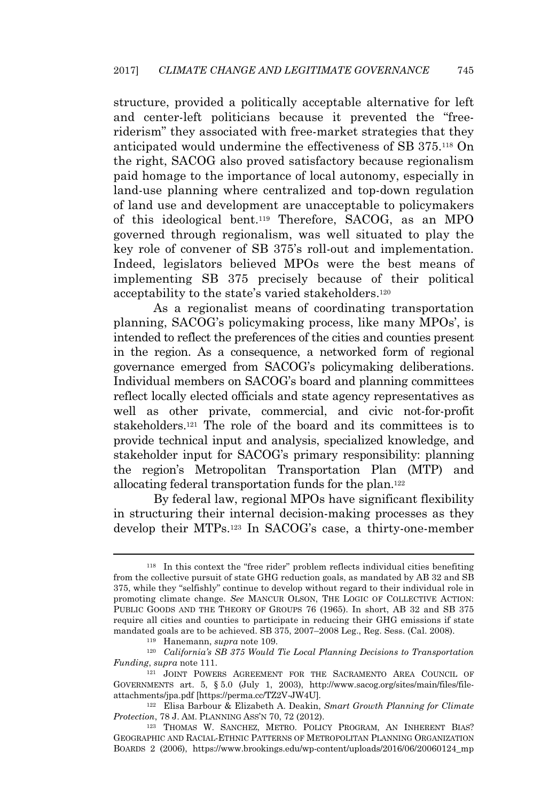structure, provided a politically acceptable alternative for left and center-left politicians because it prevented the "freeriderism" they associated with free-market strategies that they anticipated would undermine the effectiveness of SB 375.<sup>118</sup> On the right, SACOG also proved satisfactory because regionalism paid homage to the importance of local autonomy, especially in land-use planning where centralized and top-down regulation of land use and development are unacceptable to policymakers of this ideological bent.<sup>119</sup> Therefore, SACOG, as an MPO governed through regionalism, was well situated to play the key role of convener of SB 375's roll-out and implementation. Indeed, legislators believed MPOs were the best means of implementing SB 375 precisely because of their political acceptability to the state's varied stakeholders.<sup>120</sup>

As a regionalist means of coordinating transportation planning, SACOG's policymaking process, like many MPOs', is intended to reflect the preferences of the cities and counties present in the region. As a consequence, a networked form of regional governance emerged from SACOG's policymaking deliberations. Individual members on SACOG's board and planning committees reflect locally elected officials and state agency representatives as well as other private, commercial, and civic not-for-profit stakeholders.<sup>121</sup> The role of the board and its committees is to provide technical input and analysis, specialized knowledge, and stakeholder input for SACOG's primary responsibility: planning the region's Metropolitan Transportation Plan (MTP) and allocating federal transportation funds for the plan.<sup>122</sup>

By federal law, regional MPOs have significant flexibility in structuring their internal decision-making processes as they develop their MTPs.<sup>123</sup> In SACOG's case, a thirty-one-member

<sup>118</sup> In this context the "free rider" problem reflects individual cities benefiting from the collective pursuit of state GHG reduction goals, as mandated by AB 32 and SB 375, while they "selfishly" continue to develop without regard to their individual role in promoting climate change. *See* MANCUR OLSON, THE LOGIC OF COLLECTIVE ACTION: PUBLIC GOODS AND THE THEORY OF GROUPS 76 (1965). In short, AB 32 and SB 375 require all cities and counties to participate in reducing their GHG emissions if state mandated goals are to be achieved. SB 375, 2007–2008 Leg., Reg. Sess. (Cal. 2008).

<sup>119</sup> Hanemann, *supra* note 109.

<sup>120</sup> *California's SB 375 Would Tie Local Planning Decisions to Transportation Funding*, *supra* note 111.

<sup>&</sup>lt;sup>121</sup> JOINT POWERS AGREEMENT FOR THE SACRAMENTO AREA COUNCIL OF GOVERNMENTS art. 5, § 5.0 (July 1, 2003), http://www.sacog.org/sites/main/files/fileattachments/jpa.pdf [https://perma.cc/TZ2V-JW4U]*.*

<sup>122</sup> Elisa Barbour & Elizabeth A. Deakin, *Smart Growth Planning for Climate Protection*, 78 J. AM. PLANNING ASS'<sup>N</sup> 70, 72 (2012).

<sup>&</sup>lt;sup>123</sup> THOMAS W. SANCHEZ, METRO. POLICY PROGRAM, AN INHERENT BIAS? GEOGRAPHIC AND RACIAL-ETHNIC PATTERNS OF METROPOLITAN PLANNING ORGANIZATION BOARDS 2 (2006), https://www.brookings.edu/wp-content/uploads/2016/06/20060124\_mp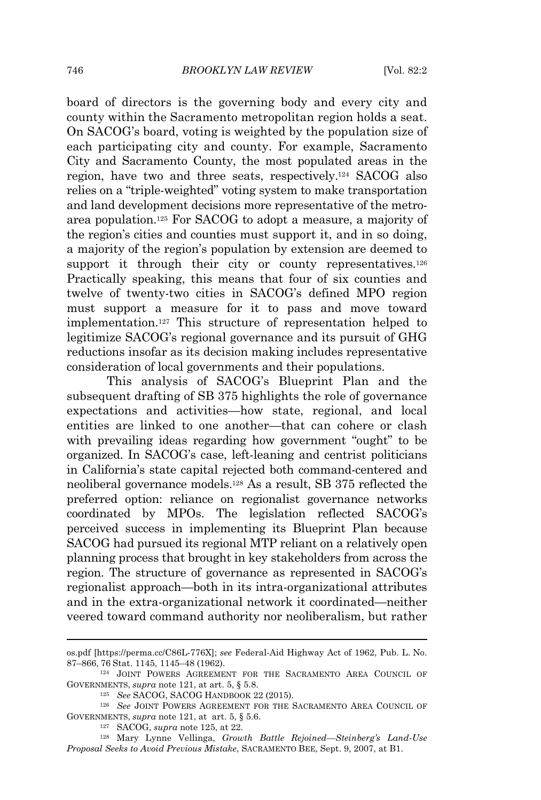board of directors is the governing body and every city and county within the Sacramento metropolitan region holds a seat. On SACOG's board, voting is weighted by the population size of each participating city and county. For example, Sacramento City and Sacramento County, the most populated areas in the region, have two and three seats, respectively.<sup>124</sup> SACOG also relies on a "triple-weighted" voting system to make transportation and land development decisions more representative of the metroarea population.<sup>125</sup> For SACOG to adopt a measure, a majority of the region's cities and counties must support it, and in so doing, a majority of the region's population by extension are deemed to support it through their city or county representatives.<sup>126</sup> Practically speaking, this means that four of six counties and twelve of twenty-two cities in SACOG's defined MPO region must support a measure for it to pass and move toward implementation.<sup>127</sup> This structure of representation helped to legitimize SACOG's regional governance and its pursuit of GHG reductions insofar as its decision making includes representative consideration of local governments and their populations.

This analysis of SACOG's Blueprint Plan and the subsequent drafting of SB 375 highlights the role of governance expectations and activities—how state, regional, and local entities are linked to one another—that can cohere or clash with prevailing ideas regarding how government "ought" to be organized. In SACOG's case, left-leaning and centrist politicians in California's state capital rejected both command-centered and neoliberal governance models.<sup>128</sup> As a result, SB 375 reflected the preferred option: reliance on regionalist governance networks coordinated by MPOs. The legislation reflected SACOG's perceived success in implementing its Blueprint Plan because SACOG had pursued its regional MTP reliant on a relatively open planning process that brought in key stakeholders from across the region. The structure of governance as represented in SACOG's regionalist approach—both in its intra-organizational attributes and in the extra-organizational network it coordinated—neither veered toward command authority nor neoliberalism, but rather

os.pdf [https://perma.cc/C86L-776X]; *see* Federal-Aid Highway Act of 1962, Pub. L. No. 87–866, 76 Stat. 1145, 1145–48 (1962).

<sup>124</sup> JOINT POWERS AGREEMENT FOR THE SACRAMENTO AREA COUNCIL OF GOVERNMENTS, *supra* note 121, at art. 5, § 5.8.

<sup>125</sup> *See* SACOG, SACOG HANDBOOK 22 (2015).

<sup>126</sup> *See* JOINT POWERS AGREEMENT FOR THE SACRAMENTO AREA COUNCIL OF GOVERNMENTS, *supra* note 121, at art. 5, § 5.6.

<sup>127</sup> SACOG, *supra* note 125, at 22.

<sup>128</sup> Mary Lynne Vellinga, *Growth Battle Rejoined—Steinberg's Land-Use Proposal Seeks to Avoid Previous Mistake*, SACRAMENTO BEE, Sept. 9, 2007, at B1.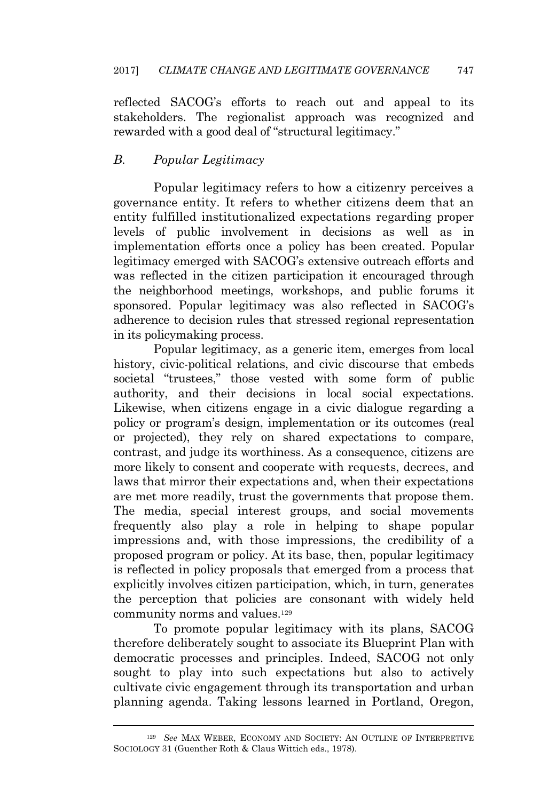reflected SACOG's efforts to reach out and appeal to its stakeholders. The regionalist approach was recognized and rewarded with a good deal of "structural legitimacy."

# *B. Popular Legitimacy*

Popular legitimacy refers to how a citizenry perceives a governance entity. It refers to whether citizens deem that an entity fulfilled institutionalized expectations regarding proper levels of public involvement in decisions as well as in implementation efforts once a policy has been created. Popular legitimacy emerged with SACOG's extensive outreach efforts and was reflected in the citizen participation it encouraged through the neighborhood meetings, workshops, and public forums it sponsored. Popular legitimacy was also reflected in SACOG's adherence to decision rules that stressed regional representation in its policymaking process.

Popular legitimacy, as a generic item, emerges from local history, civic-political relations, and civic discourse that embeds societal "trustees," those vested with some form of public authority, and their decisions in local social expectations. Likewise, when citizens engage in a civic dialogue regarding a policy or program's design, implementation or its outcomes (real or projected), they rely on shared expectations to compare, contrast, and judge its worthiness. As a consequence, citizens are more likely to consent and cooperate with requests, decrees, and laws that mirror their expectations and, when their expectations are met more readily, trust the governments that propose them. The media, special interest groups, and social movements frequently also play a role in helping to shape popular impressions and, with those impressions, the credibility of a proposed program or policy. At its base, then, popular legitimacy is reflected in policy proposals that emerged from a process that explicitly involves citizen participation, which, in turn, generates the perception that policies are consonant with widely held community norms and values.<sup>129</sup>

To promote popular legitimacy with its plans, SACOG therefore deliberately sought to associate its Blueprint Plan with democratic processes and principles. Indeed, SACOG not only sought to play into such expectations but also to actively cultivate civic engagement through its transportation and urban planning agenda. Taking lessons learned in Portland, Oregon,

<sup>129</sup> *See* MAX WEBER, ECONOMY AND SOCIETY: A<sup>N</sup> OUTLINE OF INTERPRETIVE SOCIOLOGY 31 (Guenther Roth & Claus Wittich eds., 1978).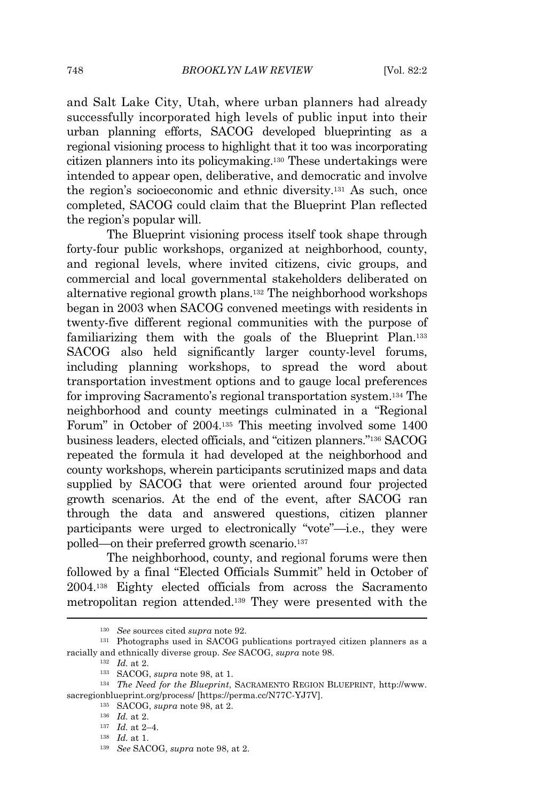and Salt Lake City, Utah, where urban planners had already successfully incorporated high levels of public input into their urban planning efforts, SACOG developed blueprinting as a regional visioning process to highlight that it too was incorporating citizen planners into its policymaking.<sup>130</sup> These undertakings were intended to appear open, deliberative, and democratic and involve the region's socioeconomic and ethnic diversity.<sup>131</sup> As such, once completed, SACOG could claim that the Blueprint Plan reflected the region's popular will.

The Blueprint visioning process itself took shape through forty-four public workshops, organized at neighborhood, county, and regional levels, where invited citizens, civic groups, and commercial and local governmental stakeholders deliberated on alternative regional growth plans.<sup>132</sup> The neighborhood workshops began in 2003 when SACOG convened meetings with residents in twenty-five different regional communities with the purpose of familiarizing them with the goals of the Blueprint Plan.<sup>133</sup> SACOG also held significantly larger county-level forums, including planning workshops, to spread the word about transportation investment options and to gauge local preferences for improving Sacramento's regional transportation system.<sup>134</sup> The neighborhood and county meetings culminated in a "Regional Forum" in October of 2004.<sup>135</sup> This meeting involved some 1400 business leaders, elected officials, and "citizen planners." <sup>136</sup> SACOG repeated the formula it had developed at the neighborhood and county workshops, wherein participants scrutinized maps and data supplied by SACOG that were oriented around four projected growth scenarios. At the end of the event, after SACOG ran through the data and answered questions, citizen planner participants were urged to electronically "vote"—i.e., they were polled—on their preferred growth scenario.<sup>137</sup>

The neighborhood, county, and regional forums were then followed by a final "Elected Officials Summit" held in October of 2004.<sup>138</sup> Eighty elected officials from across the Sacramento metropolitan region attended.<sup>139</sup> They were presented with the

<sup>130</sup> *See* sources cited *supra* note 92.

<sup>131</sup> Photographs used in SACOG publications portrayed citizen planners as a racially and ethnically diverse group. *See* SACOG, *supra* note 98.

<sup>132</sup> *Id.* at 2.

<sup>133</sup> SACOG, *supra* note 98, at 1.

<sup>134</sup> *The Need for the Blueprint*, SACRAMENTO REGION BLUEPRINT, http://www. sacregionblueprint.org/process/ [https://perma.cc/N77C-YJ7V].

<sup>135</sup> SACOG, *supra* note 98, at 2.

<sup>136</sup> *Id.* at 2.

<sup>137</sup> *Id.* at 2–4.

<sup>138</sup> *Id.* at 1.

<sup>139</sup> *See* SACOG, *supra* note 98, at 2.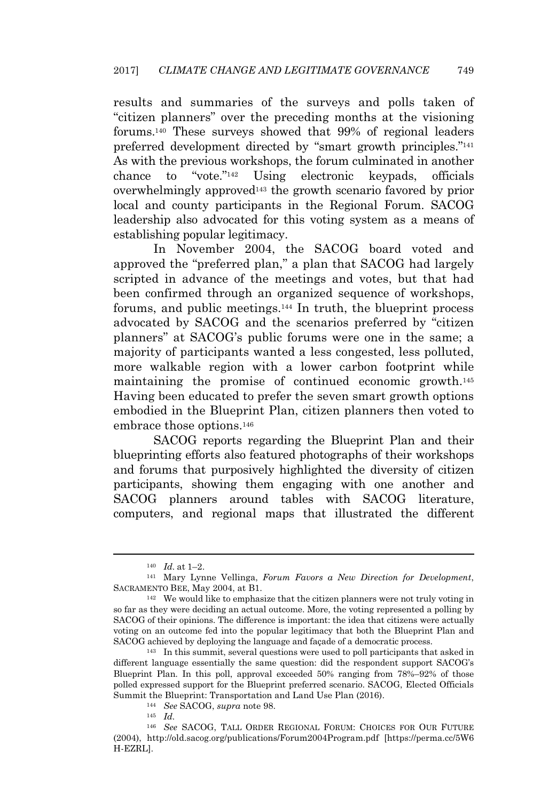results and summaries of the surveys and polls taken of "citizen planners" over the preceding months at the visioning forums.<sup>140</sup> These surveys showed that 99% of regional leaders preferred development directed by "smart growth principles."<sup>141</sup> As with the previous workshops, the forum culminated in another chance to "vote." Using electronic keypads, officials overwhelmingly approved<sup>143</sup> the growth scenario favored by prior local and county participants in the Regional Forum. SACOG leadership also advocated for this voting system as a means of establishing popular legitimacy.

In November 2004, the SACOG board voted and approved the "preferred plan," a plan that SACOG had largely scripted in advance of the meetings and votes, but that had been confirmed through an organized sequence of workshops, forums, and public meetings.<sup>144</sup> In truth, the blueprint process advocated by SACOG and the scenarios preferred by "citizen planners" at SACOG's public forums were one in the same; a majority of participants wanted a less congested, less polluted, more walkable region with a lower carbon footprint while maintaining the promise of continued economic growth.<sup>145</sup> Having been educated to prefer the seven smart growth options embodied in the Blueprint Plan, citizen planners then voted to embrace those options.<sup>146</sup>

SACOG reports regarding the Blueprint Plan and their blueprinting efforts also featured photographs of their workshops and forums that purposively highlighted the diversity of citizen participants, showing them engaging with one another and SACOG planners around tables with SACOG literature, computers, and regional maps that illustrated the different

<sup>140</sup> *Id.* at 1–2.

<sup>141</sup> Mary Lynne Vellinga, *Forum Favors a New Direction for Development*, SACRAMENTO BEE, May 2004, at B1.

<sup>142</sup> We would like to emphasize that the citizen planners were not truly voting in so far as they were deciding an actual outcome. More, the voting represented a polling by SACOG of their opinions. The difference is important: the idea that citizens were actually voting on an outcome fed into the popular legitimacy that both the Blueprint Plan and SACOG achieved by deploying the language and façade of a democratic process.

<sup>143</sup> In this summit, several questions were used to poll participants that asked in different language essentially the same question: did the respondent support SACOG's Blueprint Plan. In this poll, approval exceeded 50% ranging from 78%–92% of those polled expressed support for the Blueprint preferred scenario. SACOG, Elected Officials Summit the Blueprint: Transportation and Land Use Plan (2016).

<sup>144</sup> *See* SACOG, *supra* note 98.

<sup>145</sup> *Id.*

<sup>146</sup> *See* SACOG, TALL ORDER REGIONAL FORUM: CHOICES FOR OUR FUTURE (2004), http://old.sacog.org/publications/Forum2004Program.pdf [https://perma.cc/5W6 H-EZRL].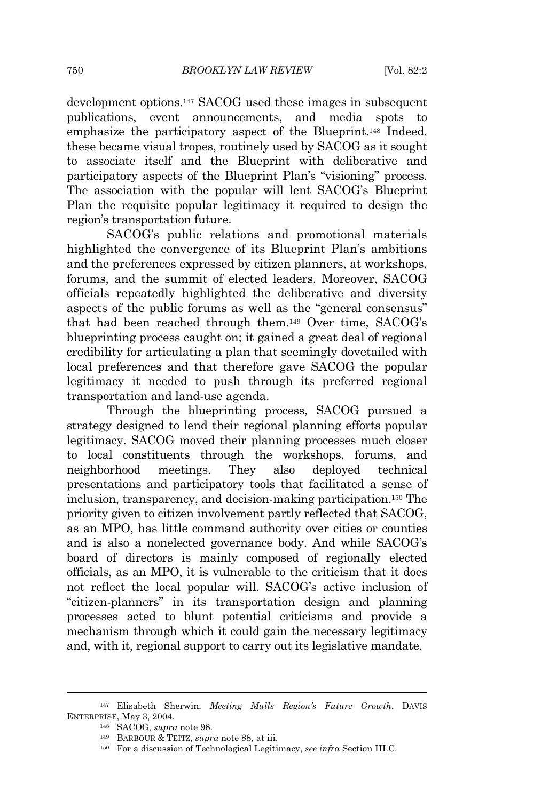development options.<sup>147</sup> SACOG used these images in subsequent publications, event announcements, and media spots to emphasize the participatory aspect of the Blueprint.<sup>148</sup> Indeed, these became visual tropes, routinely used by SACOG as it sought to associate itself and the Blueprint with deliberative and participatory aspects of the Blueprint Plan's "visioning" process. The association with the popular will lent SACOG's Blueprint Plan the requisite popular legitimacy it required to design the region's transportation future.

SACOG's public relations and promotional materials highlighted the convergence of its Blueprint Plan's ambitions and the preferences expressed by citizen planners, at workshops, forums, and the summit of elected leaders. Moreover, SACOG officials repeatedly highlighted the deliberative and diversity aspects of the public forums as well as the "general consensus" that had been reached through them.<sup>149</sup> Over time, SACOG's blueprinting process caught on; it gained a great deal of regional credibility for articulating a plan that seemingly dovetailed with local preferences and that therefore gave SACOG the popular legitimacy it needed to push through its preferred regional transportation and land-use agenda.

Through the blueprinting process, SACOG pursued a strategy designed to lend their regional planning efforts popular legitimacy. SACOG moved their planning processes much closer to local constituents through the workshops, forums, and neighborhood meetings. They also deployed technical presentations and participatory tools that facilitated a sense of inclusion, transparency, and decision-making participation.<sup>150</sup> The priority given to citizen involvement partly reflected that SACOG, as an MPO, has little command authority over cities or counties and is also a nonelected governance body. And while SACOG's board of directors is mainly composed of regionally elected officials, as an MPO, it is vulnerable to the criticism that it does not reflect the local popular will. SACOG's active inclusion of "citizen-planners" in its transportation design and planning processes acted to blunt potential criticisms and provide a mechanism through which it could gain the necessary legitimacy and, with it, regional support to carry out its legislative mandate.

<sup>147</sup> Elisabeth Sherwin, *Meeting Mulls Region's Future Growth*, DAVIS ENTERPRISE, May 3, 2004.

<sup>148</sup> SACOG, *supra* note 98.

<sup>149</sup> BARBOUR & TEITZ, *supra* note 88, at iii.

<sup>150</sup> For a discussion of Technological Legitimacy, *see infra* Section III.C.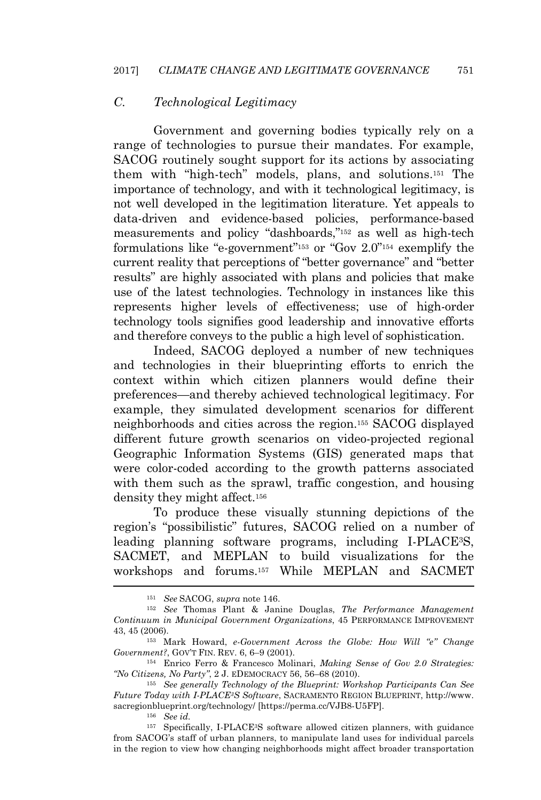### *C. Technological Legitimacy*

Government and governing bodies typically rely on a range of technologies to pursue their mandates. For example, SACOG routinely sought support for its actions by associating them with "high-tech" models, plans, and solutions.<sup>151</sup> The importance of technology, and with it technological legitimacy, is not well developed in the legitimation literature. Yet appeals to data-driven and evidence-based policies, performance-based measurements and policy "dashboards," <sup>152</sup> as well as high-tech formulations like "e-government"<sup>153</sup> or "Gov 2.0"<sup>154</sup> exemplify the current reality that perceptions of "better governance" and "better results" are highly associated with plans and policies that make use of the latest technologies. Technology in instances like this represents higher levels of effectiveness; use of high-order technology tools signifies good leadership and innovative efforts and therefore conveys to the public a high level of sophistication.

Indeed, SACOG deployed a number of new techniques and technologies in their blueprinting efforts to enrich the context within which citizen planners would define their preferences—and thereby achieved technological legitimacy. For example, they simulated development scenarios for different neighborhoods and cities across the region.<sup>155</sup> SACOG displayed different future growth scenarios on video-projected regional Geographic Information Systems (GIS) generated maps that were color-coded according to the growth patterns associated with them such as the sprawl, traffic congestion, and housing density they might affect.<sup>156</sup>

To produce these visually stunning depictions of the region's "possibilistic" futures, SACOG relied on a number of leading planning software programs, including I-PLACE3S, SACMET, and MEPLAN to build visualizations for the workshops and forums.<sup>157</sup> While MEPLAN and SACMET

<sup>156</sup> *See id.*

<sup>157</sup> Specifically, I-PLACE3S software allowed citizen planners, with guidance from SACOG's staff of urban planners, to manipulate land uses for individual parcels in the region to view how changing neighborhoods might affect broader transportation

<sup>151</sup> *See* SACOG, *supra* note 146.

<sup>152</sup> *See* Thomas Plant & Janine Douglas, *The Performance Management Continuum in Municipal Government Organizations*, 45 PERFORMANCE IMPROVEMENT 43, 45 (2006).

<sup>153</sup> Mark Howard, *e-Government Across the Globe: How Will "e" Change Government?*, GOV'<sup>T</sup> FIN. REV. 6, 6–9 (2001).

<sup>154</sup> Enrico Ferro & Francesco Molinari, *Making Sense of Gov 2.0 Strategies: "No Citizens, No Party"*, 2 J. <sup>E</sup>DEMOCRACY 56, 56–68 (2010).

<sup>155</sup> *See generally Technology of the Blueprint: Workshop Participants Can See Future Today with I-PLACE3S Software*, SACRAMENTO REGION BLUEPRINT, http://www. sacregionblueprint.org/technology/ [https://perma.cc/VJB8-U5FP].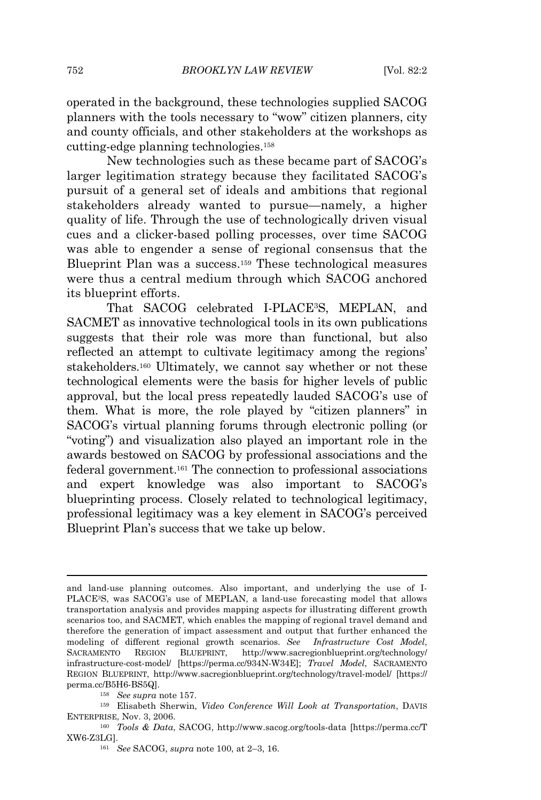operated in the background, these technologies supplied SACOG planners with the tools necessary to "wow" citizen planners, city and county officials, and other stakeholders at the workshops as cutting-edge planning technologies.<sup>158</sup>

New technologies such as these became part of SACOG's larger legitimation strategy because they facilitated SACOG's pursuit of a general set of ideals and ambitions that regional stakeholders already wanted to pursue—namely, a higher quality of life. Through the use of technologically driven visual cues and a clicker-based polling processes, over time SACOG was able to engender a sense of regional consensus that the Blueprint Plan was a success.<sup>159</sup> These technological measures were thus a central medium through which SACOG anchored its blueprint efforts.

That SACOG celebrated I-PLACE3S, MEPLAN, and SACMET as innovative technological tools in its own publications suggests that their role was more than functional, but also reflected an attempt to cultivate legitimacy among the regions' stakeholders.<sup>160</sup> Ultimately, we cannot say whether or not these technological elements were the basis for higher levels of public approval, but the local press repeatedly lauded SACOG's use of them. What is more, the role played by "citizen planners" in SACOG's virtual planning forums through electronic polling (or "voting") and visualization also played an important role in the awards bestowed on SACOG by professional associations and the federal government.<sup>161</sup> The connection to professional associations and expert knowledge was also important to SACOG's blueprinting process. Closely related to technological legitimacy, professional legitimacy was a key element in SACOG's perceived Blueprint Plan's success that we take up below.

and land-use planning outcomes. Also important, and underlying the use of I-PLACE3S, was SACOG's use of MEPLAN, a land-use forecasting model that allows transportation analysis and provides mapping aspects for illustrating different growth scenarios too, and SACMET, which enables the mapping of regional travel demand and therefore the generation of impact assessment and output that further enhanced the modeling of different regional growth scenarios. *See Infrastructure Cost Model*, SACRAMENTO REGION BLUEPRINT, http://www.sacregionblueprint.org/technology/ infrastructure-cost-model/ [https://perma.cc/934N-W34E]; *Travel Model*, SACRAMENTO REGION BLUEPRINT, http://www.sacregionblueprint.org/technology/travel-model/ [https:// perma.cc/B5H6-BS5Q].

<sup>158</sup> *See supra* note 157.

<sup>159</sup> Elisabeth Sherwin, *Video Conference Will Look at Transportation*, DAVIS ENTERPRISE, Nov. 3, 2006.

<sup>160</sup> *Tools & Data*, SACOG, http://www.sacog.org/tools-data [https://perma.cc/T XW6-Z3LG].

<sup>161</sup> *See* SACOG, *supra* note 100, at 2–3, 16.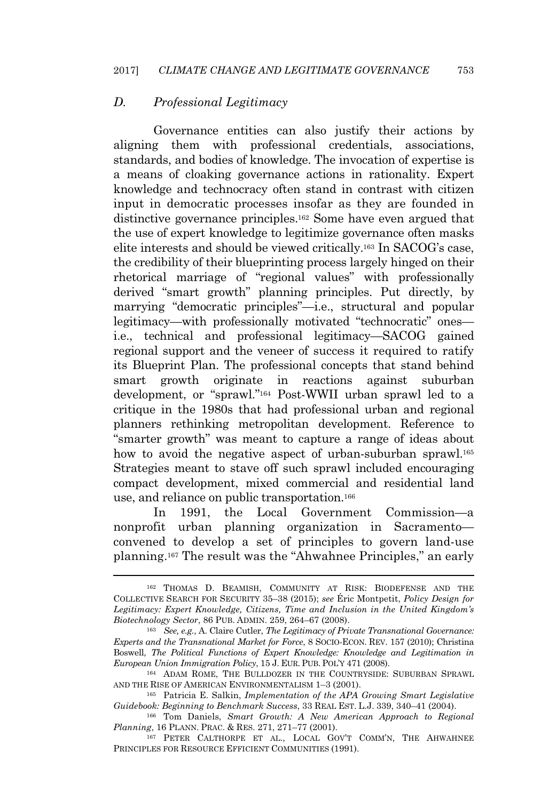#### *D. Professional Legitimacy*

Governance entities can also justify their actions by aligning them with professional credentials, associations, standards, and bodies of knowledge. The invocation of expertise is a means of cloaking governance actions in rationality. Expert knowledge and technocracy often stand in contrast with citizen input in democratic processes insofar as they are founded in distinctive governance principles.<sup>162</sup> Some have even argued that the use of expert knowledge to legitimize governance often masks elite interests and should be viewed critically.<sup>163</sup> In SACOG's case, the credibility of their blueprinting process largely hinged on their rhetorical marriage of "regional values" with professionally derived "smart growth" planning principles. Put directly, by marrying "democratic principles"—i.e., structural and popular legitimacy—with professionally motivated "technocratic" ones i.e., technical and professional legitimacy—SACOG gained regional support and the veneer of success it required to ratify its Blueprint Plan. The professional concepts that stand behind smart growth originate in reactions against suburban development, or "sprawl." <sup>164</sup> Post-WWII urban sprawl led to a critique in the 1980s that had professional urban and regional planners rethinking metropolitan development. Reference to "smarter growth" was meant to capture a range of ideas about how to avoid the negative aspect of urban-suburban sprawl.<sup>165</sup> Strategies meant to stave off such sprawl included encouraging compact development, mixed commercial and residential land use, and reliance on public transportation.<sup>166</sup>

In 1991, the Local Government Commission—a nonprofit urban planning organization in Sacramento convened to develop a set of principles to govern land-use planning.<sup>167</sup> The result was the "Ahwahnee Principles," an early

<sup>162</sup> THOMAS D. BEAMISH, COMMUNITY AT RISK: BIODEFENSE AND THE COLLECTIVE SEARCH FOR SECURITY 35–38 (2015); *see* Éric Montpetit, *Policy Design for Legitimacy: Expert Knowledge, Citizens, Time and Inclusion in the United Kingdom's Biotechnology Sector*, 86 PUB. ADMIN. 259, 264–67 (2008).

<sup>163</sup> *See, e.g.*, A. Claire Cutler, *The Legitimacy of Private Transnational Governance: Experts and the Transnational Market for Force*, 8 SOCIO-ECON. REV. 157 (2010); Christina Boswell, *The Political Functions of Expert Knowledge: Knowledge and Legitimation in European Union Immigration Policy*, 15 J. EUR. PUB. POL'<sup>Y</sup> 471 (2008).

<sup>164</sup> ADAM ROME, THE BULLDOZER IN THE COUNTRYSIDE: SUBURBAN SPRAWL AND THE RISE OF AMERICAN ENVIRONMENTALISM 1–3 (2001).

<sup>165</sup> Patricia E. Salkin, *Implementation of the APA Growing Smart Legislative Guidebook: Beginning to Benchmark Success*, 33 REAL EST. L.J. 339, 340–41 (2004).

<sup>166</sup> Tom Daniels, *Smart Growth: A New American Approach to Regional Planning*, 16 PLANN. PRAC. & RES. 271, 271–77 (2001).

<sup>167</sup> PETER CALTHORPE ET AL., LOCAL GOV'<sup>T</sup> COMM'N, THE AHWAHNEE PRINCIPLES FOR RESOURCE EFFICIENT COMMUNITIES (1991).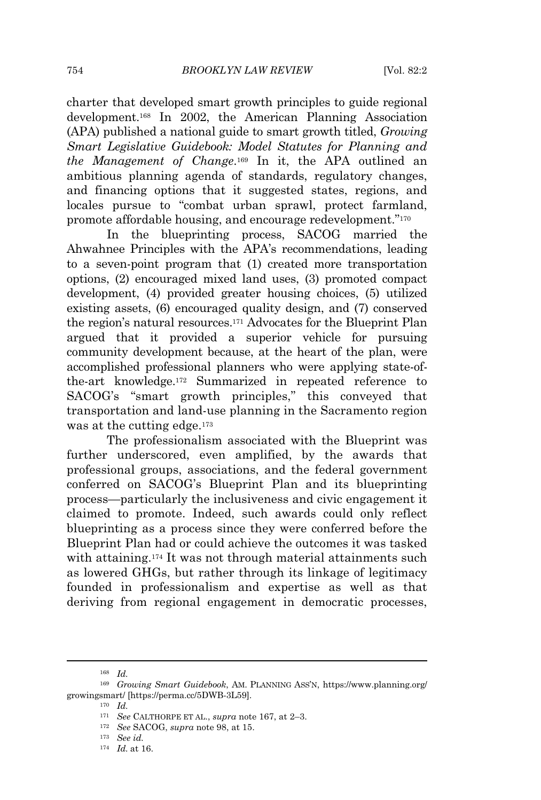charter that developed smart growth principles to guide regional development.<sup>168</sup> In 2002, the American Planning Association (APA) published a national guide to smart growth titled, *Growing Smart Legislative Guidebook: Model Statutes for Planning and the Management of Change*. <sup>169</sup> In it, the APA outlined an ambitious planning agenda of standards, regulatory changes, and financing options that it suggested states, regions, and locales pursue to "combat urban sprawl, protect farmland, promote affordable housing, and encourage redevelopment."<sup>170</sup>

In the blueprinting process, SACOG married the Ahwahnee Principles with the APA's recommendations, leading to a seven-point program that (1) created more transportation options, (2) encouraged mixed land uses, (3) promoted compact development, (4) provided greater housing choices, (5) utilized existing assets, (6) encouraged quality design, and (7) conserved the region's natural resources.<sup>171</sup> Advocates for the Blueprint Plan argued that it provided a superior vehicle for pursuing community development because, at the heart of the plan, were accomplished professional planners who were applying state-ofthe-art knowledge.<sup>172</sup> Summarized in repeated reference to SACOG's "smart growth principles," this conveyed that transportation and land-use planning in the Sacramento region was at the cutting edge.<sup>173</sup>

The professionalism associated with the Blueprint was further underscored, even amplified, by the awards that professional groups, associations, and the federal government conferred on SACOG's Blueprint Plan and its blueprinting process—particularly the inclusiveness and civic engagement it claimed to promote. Indeed, such awards could only reflect blueprinting as a process since they were conferred before the Blueprint Plan had or could achieve the outcomes it was tasked with attaining.<sup>174</sup> It was not through material attainments such as lowered GHGs, but rather through its linkage of legitimacy founded in professionalism and expertise as well as that deriving from regional engagement in democratic processes,

<sup>168</sup> *Id.*

<sup>169</sup> *Growing Smart Guidebook*, AM. PLANNING ASS'N, https://www.planning.org/ growingsmart/ [https://perma.cc/5DWB-3L59].

<sup>170</sup> *Id.*

<sup>171</sup> *See* CALTHORPE ET AL., *supra* note 167, at 2–3.

<sup>172</sup> *See* SACOG, *supra* note 98, at 15.

<sup>173</sup> *See id.*

<sup>174</sup> *Id.* at 16.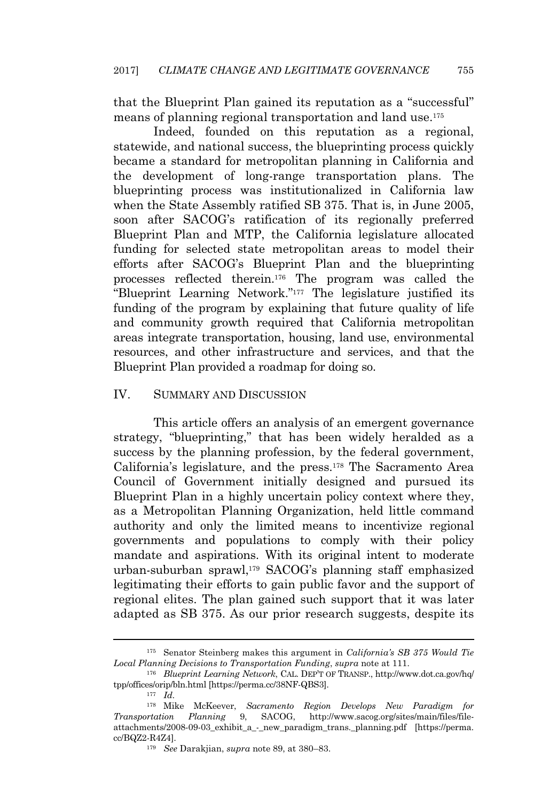that the Blueprint Plan gained its reputation as a "successful" means of planning regional transportation and land use.<sup>175</sup>

Indeed, founded on this reputation as a regional, statewide, and national success, the blueprinting process quickly became a standard for metropolitan planning in California and the development of long-range transportation plans. The blueprinting process was institutionalized in California law when the State Assembly ratified SB 375. That is, in June 2005, soon after SACOG's ratification of its regionally preferred Blueprint Plan and MTP, the California legislature allocated funding for selected state metropolitan areas to model their efforts after SACOG's Blueprint Plan and the blueprinting processes reflected therein.<sup>176</sup> The program was called the "Blueprint Learning Network." <sup>177</sup> The legislature justified its funding of the program by explaining that future quality of life and community growth required that California metropolitan areas integrate transportation, housing, land use, environmental resources, and other infrastructure and services, and that the Blueprint Plan provided a roadmap for doing so.

#### IV. SUMMARY AND DISCUSSION

This article offers an analysis of an emergent governance strategy, "blueprinting," that has been widely heralded as a success by the planning profession, by the federal government, California's legislature, and the press.<sup>178</sup> The Sacramento Area Council of Government initially designed and pursued its Blueprint Plan in a highly uncertain policy context where they, as a Metropolitan Planning Organization, held little command authority and only the limited means to incentivize regional governments and populations to comply with their policy mandate and aspirations. With its original intent to moderate urban-suburban sprawl,<sup>179</sup> SACOG's planning staff emphasized legitimating their efforts to gain public favor and the support of regional elites. The plan gained such support that it was later adapted as SB 375. As our prior research suggests, despite its

<sup>175</sup> Senator Steinberg makes this argument in *California's SB 375 Would Tie Local Planning Decisions to Transportation Funding*, *supra* note at 111.

<sup>176</sup> *Blueprint Learning Network*, CAL. DEP'T OF TRANSP., http://www.dot.ca.gov/hq/ tpp/offices/orip/bln.html [https://perma.cc/38NF-QBS3].

<sup>177</sup> *Id.*

<sup>178</sup> Mike McKeever, *Sacramento Region Develops New Paradigm for Transportation Planning* 9, SACOG, http://www.sacog.org/sites/main/files/fileattachments/2008-09-03\_exhibit\_a\_-\_new\_paradigm\_trans.\_planning.pdf [https://perma. cc/BQZ2-R4Z4].

<sup>179</sup> *See* Darakjian, *supra* note 89, at 380–83.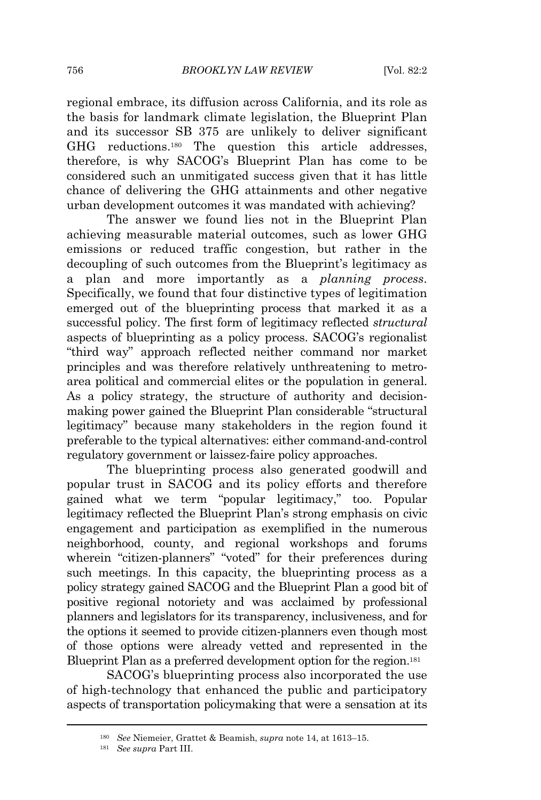regional embrace, its diffusion across California, and its role as the basis for landmark climate legislation, the Blueprint Plan and its successor SB 375 are unlikely to deliver significant GHG reductions.<sup>180</sup> The question this article addresses, therefore, is why SACOG's Blueprint Plan has come to be considered such an unmitigated success given that it has little chance of delivering the GHG attainments and other negative urban development outcomes it was mandated with achieving?

The answer we found lies not in the Blueprint Plan achieving measurable material outcomes, such as lower GHG emissions or reduced traffic congestion, but rather in the decoupling of such outcomes from the Blueprint's legitimacy as a plan and more importantly as a *planning process*. Specifically, we found that four distinctive types of legitimation emerged out of the blueprinting process that marked it as a successful policy. The first form of legitimacy reflected *structural* aspects of blueprinting as a policy process. SACOG's regionalist "third way" approach reflected neither command nor market principles and was therefore relatively unthreatening to metroarea political and commercial elites or the population in general. As a policy strategy, the structure of authority and decisionmaking power gained the Blueprint Plan considerable "structural legitimacy" because many stakeholders in the region found it preferable to the typical alternatives: either command-and-control regulatory government or laissez-faire policy approaches.

The blueprinting process also generated goodwill and popular trust in SACOG and its policy efforts and therefore gained what we term "popular legitimacy," too. Popular legitimacy reflected the Blueprint Plan's strong emphasis on civic engagement and participation as exemplified in the numerous neighborhood, county, and regional workshops and forums wherein "citizen-planners" "voted" for their preferences during such meetings. In this capacity, the blueprinting process as a policy strategy gained SACOG and the Blueprint Plan a good bit of positive regional notoriety and was acclaimed by professional planners and legislators for its transparency, inclusiveness, and for the options it seemed to provide citizen-planners even though most of those options were already vetted and represented in the Blueprint Plan as a preferred development option for the region.<sup>181</sup>

SACOG's blueprinting process also incorporated the use of high-technology that enhanced the public and participatory aspects of transportation policymaking that were a sensation at its

<sup>180</sup> *See* Niemeier, Grattet & Beamish, *supra* note 14, at 1613–15.

<sup>181</sup> *See supra* Part III.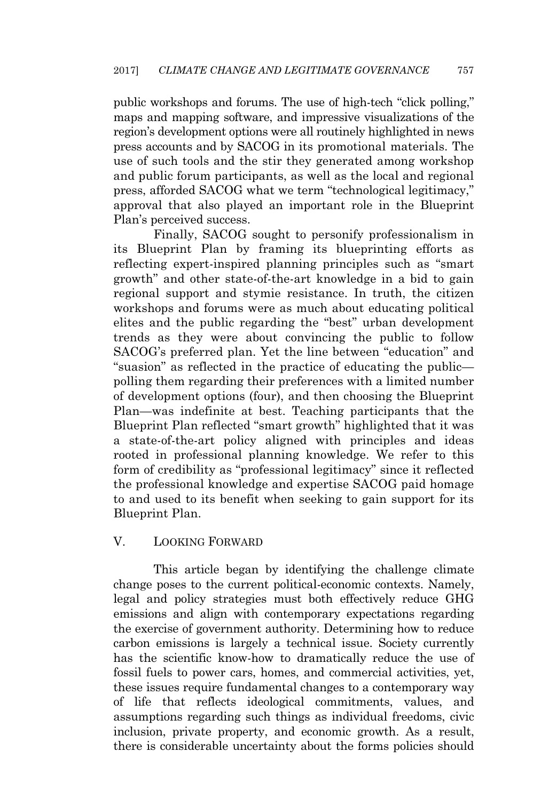public workshops and forums. The use of high-tech "click polling," maps and mapping software, and impressive visualizations of the region's development options were all routinely highlighted in news press accounts and by SACOG in its promotional materials. The use of such tools and the stir they generated among workshop and public forum participants, as well as the local and regional press, afforded SACOG what we term "technological legitimacy," approval that also played an important role in the Blueprint Plan's perceived success.

Finally, SACOG sought to personify professionalism in its Blueprint Plan by framing its blueprinting efforts as reflecting expert-inspired planning principles such as "smart growth" and other state-of-the-art knowledge in a bid to gain regional support and stymie resistance. In truth, the citizen workshops and forums were as much about educating political elites and the public regarding the "best" urban development trends as they were about convincing the public to follow SACOG's preferred plan. Yet the line between "education" and "suasion" as reflected in the practice of educating the public polling them regarding their preferences with a limited number of development options (four), and then choosing the Blueprint Plan—was indefinite at best. Teaching participants that the Blueprint Plan reflected "smart growth" highlighted that it was a state-of-the-art policy aligned with principles and ideas rooted in professional planning knowledge. We refer to this form of credibility as "professional legitimacy" since it reflected the professional knowledge and expertise SACOG paid homage to and used to its benefit when seeking to gain support for its Blueprint Plan.

# V. LOOKING FORWARD

This article began by identifying the challenge climate change poses to the current political-economic contexts. Namely, legal and policy strategies must both effectively reduce GHG emissions and align with contemporary expectations regarding the exercise of government authority. Determining how to reduce carbon emissions is largely a technical issue. Society currently has the scientific know-how to dramatically reduce the use of fossil fuels to power cars, homes, and commercial activities, yet, these issues require fundamental changes to a contemporary way of life that reflects ideological commitments, values, and assumptions regarding such things as individual freedoms, civic inclusion, private property, and economic growth. As a result, there is considerable uncertainty about the forms policies should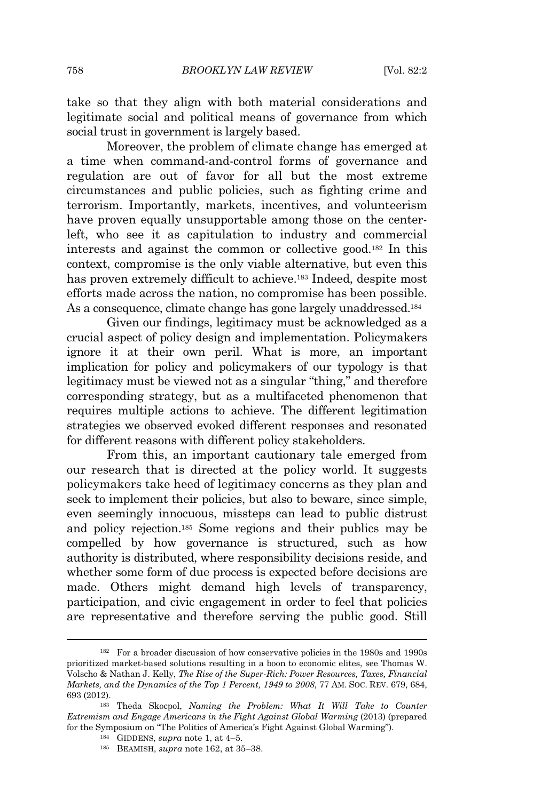take so that they align with both material considerations and legitimate social and political means of governance from which social trust in government is largely based.

Moreover, the problem of climate change has emerged at a time when command-and-control forms of governance and regulation are out of favor for all but the most extreme circumstances and public policies, such as fighting crime and terrorism. Importantly, markets, incentives, and volunteerism have proven equally unsupportable among those on the centerleft, who see it as capitulation to industry and commercial interests and against the common or collective good.<sup>182</sup> In this context, compromise is the only viable alternative, but even this has proven extremely difficult to achieve.<sup>183</sup> Indeed, despite most efforts made across the nation, no compromise has been possible. As a consequence, climate change has gone largely unaddressed.<sup>184</sup>

Given our findings, legitimacy must be acknowledged as a crucial aspect of policy design and implementation. Policymakers ignore it at their own peril. What is more, an important implication for policy and policymakers of our typology is that legitimacy must be viewed not as a singular "thing," and therefore corresponding strategy, but as a multifaceted phenomenon that requires multiple actions to achieve. The different legitimation strategies we observed evoked different responses and resonated for different reasons with different policy stakeholders.

From this, an important cautionary tale emerged from our research that is directed at the policy world. It suggests policymakers take heed of legitimacy concerns as they plan and seek to implement their policies, but also to beware, since simple, even seemingly innocuous, missteps can lead to public distrust and policy rejection.<sup>185</sup> Some regions and their publics may be compelled by how governance is structured, such as how authority is distributed, where responsibility decisions reside, and whether some form of due process is expected before decisions are made. Others might demand high levels of transparency, participation, and civic engagement in order to feel that policies are representative and therefore serving the public good. Still

<sup>182</sup> For a broader discussion of how conservative policies in the 1980s and 1990s prioritized market-based solutions resulting in a boon to economic elites, see Thomas W. Volscho & Nathan J. Kelly, *The Rise of the Super-Rich: Power Resources, Taxes, Financial Markets, and the Dynamics of the Top 1 Percent, 1949 to 2008*, 77 AM. SOC. REV. 679, 684, 693 (2012).

<sup>183</sup> Theda Skocpol, *Naming the Problem: What It Will Take to Counter Extremism and Engage Americans in the Fight Against Global Warming* (2013) (prepared for the Symposium on "The Politics of America's Fight Against Global Warming").

<sup>184</sup> GIDDENS, *supra* note 1, at 4–5.

<sup>185</sup> BEAMISH, *supra* note 162, at 35–38.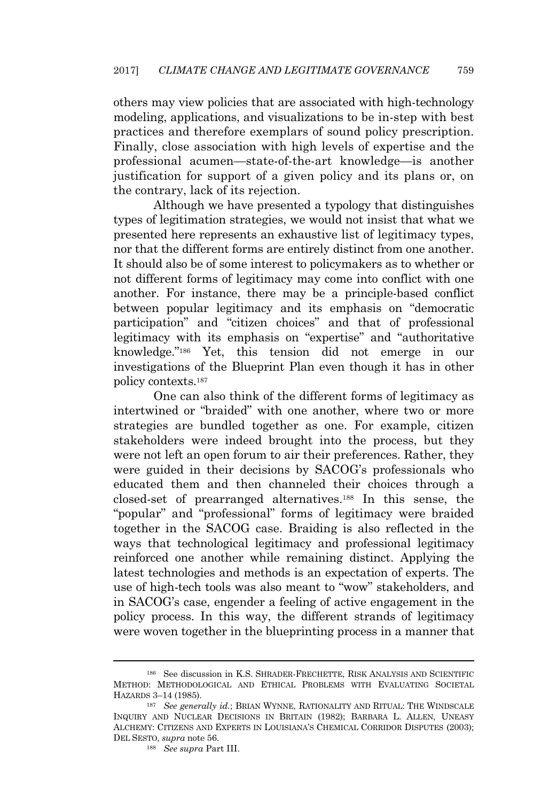others may view policies that are associated with high-technology modeling, applications, and visualizations to be in-step with best practices and therefore exemplars of sound policy prescription. Finally, close association with high levels of expertise and the professional acumen—state-of-the-art knowledge—is another justification for support of a given policy and its plans or, on the contrary, lack of its rejection.

Although we have presented a typology that distinguishes types of legitimation strategies, we would not insist that what we presented here represents an exhaustive list of legitimacy types, nor that the different forms are entirely distinct from one another. It should also be of some interest to policymakers as to whether or not different forms of legitimacy may come into conflict with one another. For instance, there may be a principle-based conflict between popular legitimacy and its emphasis on "democratic participation" and "citizen choices" and that of professional legitimacy with its emphasis on "expertise" and "authoritative knowledge." <sup>186</sup> Yet, this tension did not emerge in our investigations of the Blueprint Plan even though it has in other policy contexts.<sup>187</sup>

One can also think of the different forms of legitimacy as intertwined or "braided" with one another, where two or more strategies are bundled together as one. For example, citizen stakeholders were indeed brought into the process, but they were not left an open forum to air their preferences. Rather, they were guided in their decisions by SACOG's professionals who educated them and then channeled their choices through a closed-set of prearranged alternatives.<sup>188</sup> In this sense, the "popular" and "professional" forms of legitimacy were braided together in the SACOG case. Braiding is also reflected in the ways that technological legitimacy and professional legitimacy reinforced one another while remaining distinct. Applying the latest technologies and methods is an expectation of experts. The use of high-tech tools was also meant to "wow" stakeholders, and in SACOG's case, engender a feeling of active engagement in the policy process. In this way, the different strands of legitimacy were woven together in the blueprinting process in a manner that

<sup>186</sup> See discussion in K.S. SHRADER-FRECHETTE, RISK ANALYSIS AND SCIENTIFIC METHOD: METHODOLOGICAL AND ETHICAL PROBLEMS WITH EVALUATING SOCIETAL HAZARDS 3–14 (1985).

<sup>187</sup> *See generally id.*; BRIAN WYNNE, RATIONALITY AND RITUAL: THE WINDSCALE INQUIRY AND NUCLEAR DECISIONS IN BRITAIN (1982); BARBARA L. ALLEN, UNEASY ALCHEMY: CITIZENS AND EXPERTS IN LOUISIANA'<sup>S</sup> CHEMICAL CORRIDOR DISPUTES (2003); DEL SESTO, *supra* note 56.

<sup>188</sup> *See supra* Part III.